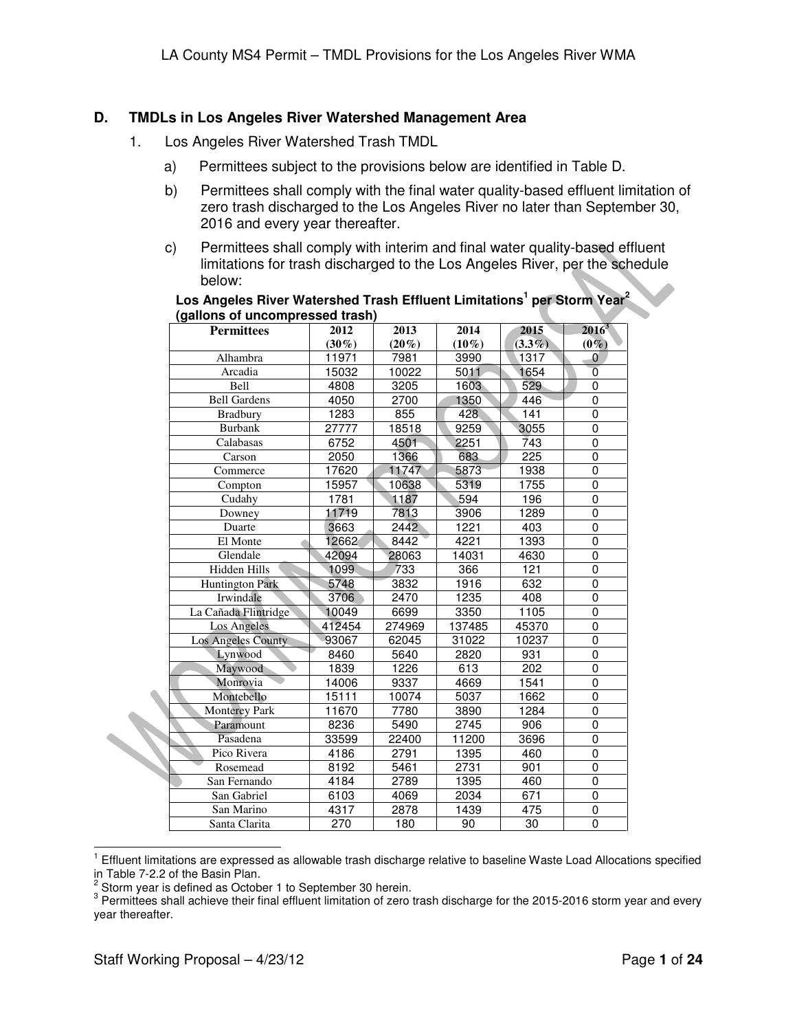# **D. TMDLs in Los Angeles River Watershed Management Area**

- 1. Los Angeles River Watershed Trash TMDL
	- a) Permittees subject to the provisions below are identified in Table D.
	- b) Permittees shall comply with the final water quality-based effluent limitation of zero trash discharged to the Los Angeles River no later than September 30, 2016 and every year thereafter.
	- c) Permittees shall comply with interim and final water quality-based effluent limitations for trash discharged to the Los Angeles River, per the schedule below:

| Los Angeles River Watershed Trash Effluent Limitations <sup>1</sup> per Storm Year <sup>2</sup> |  |
|-------------------------------------------------------------------------------------------------|--|
| (gallons of uncompressed trash)                                                                 |  |

| <b>Permittees</b>      | 2012     | 2013     | 2014     | 2015            | $2016^3$       |
|------------------------|----------|----------|----------|-----------------|----------------|
|                        | $(30\%)$ | $(20\%)$ | $(10\%)$ | $(3.3\%)$       | $(0\%)$        |
| Alhambra               | 11971    | 7981     | 3990     | 1317            | $\overline{0}$ |
| Arcadia                | 15032    | 10022    | 5011     | 1654            | $\overline{0}$ |
| Bell                   | 4808     | 3205     | 1603     | 529             | 0              |
| <b>Bell Gardens</b>    | 4050     | 2700     | 1350     | 446             | 0              |
| <b>Bradbury</b>        | 1283     | 855      | 428      | 141             | 0              |
| <b>Burbank</b>         | 27777    | 18518    | 9259     | 3055            | 0              |
| Calabasas              | 6752     | 4501     | 2251     | 743             | 0              |
| Carson                 | 2050     | 1366     | 683      | 225             | 0              |
| Commerce               | 17620    | 11747    | 5873     | 1938            | 0              |
| Compton                | 15957    | 10638    | 5319     | 1755            | $\overline{0}$ |
| Cudahy                 | 1781     | 1187     | 594      | 196             | 0              |
| Downey                 | 11719    | 7813     | 3906     | 1289            | 0              |
| Duarte                 | 3663     | 2442     | 1221     | 403             | $\overline{0}$ |
| El Monte               | 12662    | 8442     | 4221     | 1393            | $\overline{0}$ |
| Glendale               | 42094    | 28063    | 14031    | 4630            | $\mathbf 0$    |
| <b>Hidden Hills</b>    | 1099     | 733      | 366      | 121             | 0              |
| <b>Huntington Park</b> | 5748     | 3832     | 1916     | 632             | 0              |
| Irwindale              | 3706     | 2470     | 1235     | 408             | $\pmb{0}$      |
| La Cañada Flintridge   | 10049    | 6699     | 3350     | 1105            | 0              |
| Los Angeles            | 412454   | 274969   | 137485   | 45370           | 0              |
| Los Angeles County     | 93067    | 62045    | 31022    | 10237           | 0              |
| Lynwood                | 8460     | 5640     | 2820     | 931             | 0              |
| Maywood                | 1839     | 1226     | 613      | 202             | 0              |
| Monrovia               | 14006    | 9337     | 4669     | 1541            | $\overline{0}$ |
| Montebello             | 15111    | 10074    | 5037     | 1662            | 0              |
| <b>Monterey Park</b>   | 11670    | 7780     | 3890     | 1284            | 0              |
| Paramount              | 8236     | 5490     | 2745     | 906             | $\overline{0}$ |
| Pasadena               | 33599    | 22400    | 11200    | 3696            | $\overline{0}$ |
| Pico Rivera            | 4186     | 2791     | 1395     | 460             | 0              |
| Rosemead               | 8192     | 5461     | 2731     | 901             | 0              |
| San Fernando           | 4184     | 2789     | 1395     | 460             | 0              |
| San Gabriel            | 6103     | 4069     | 2034     | 671             | $\pmb{0}$      |
| San Marino             | 4317     | 2878     | 1439     | 475             | 0              |
| Santa Clarita          | 270      | 180      | 90       | $\overline{30}$ | $\overline{0}$ |

 1 Effluent limitations are expressed as allowable trash discharge relative to baseline Waste Load Allocations specified

in Table 7-2.2 of the Basin Plan.<br><sup>2</sup> Storm year is defined as October 1 to September 30 herein.

 $^3$  Permittees shall achieve their final effluent limitation of zero trash discharge for the 2015-2016 storm year and every year thereafter.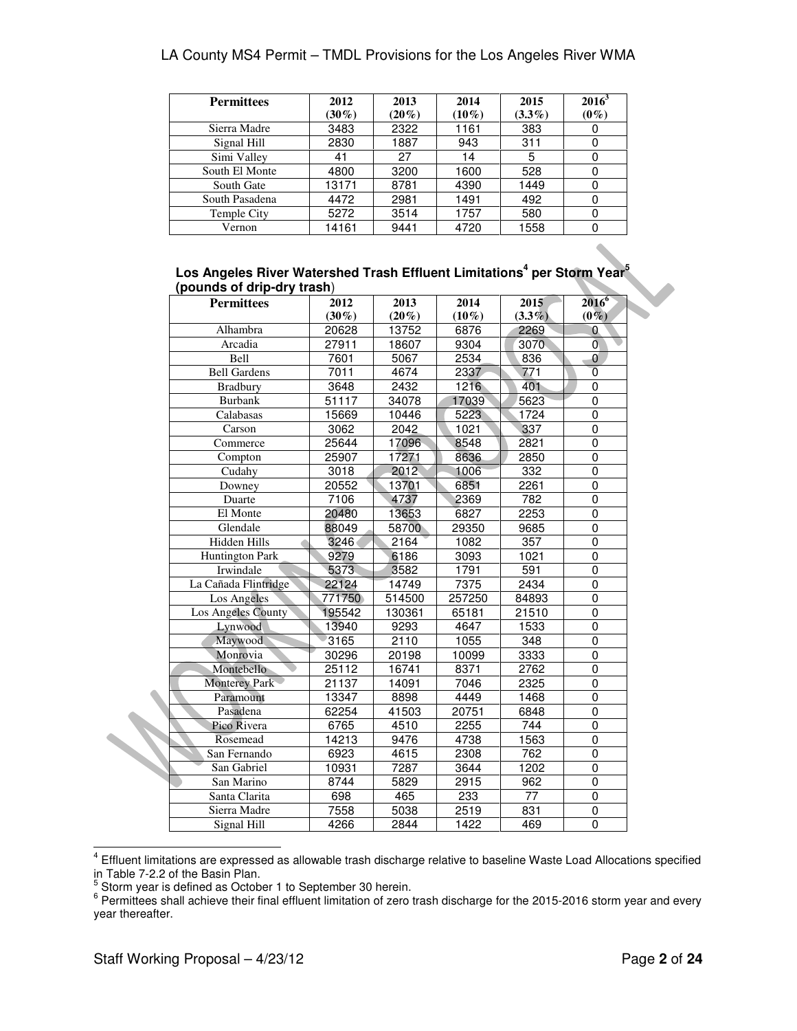| <b>Permittees</b> | 2012<br>$(30\%)$ | 2013<br>$(20\%)$ | 2014<br>$(10\%)$ | 2015<br>$(3.3\%)$ | $2016^3$<br>$(0\%)$ |
|-------------------|------------------|------------------|------------------|-------------------|---------------------|
| Sierra Madre      | 3483             | 2322             | 1161             | 383               |                     |
| Signal Hill       | 2830             | 1887             | 943              | 311               |                     |
| Simi Valley       | 41               | 27               | 14               | 5                 |                     |
| South El Monte    | 4800             | 3200             | 1600             | 528               |                     |
| South Gate        | 13171            | 8781             | 4390             | 1449              |                     |
| South Pasadena    | 4472             | 2981             | 1491             | 492               |                     |
| Temple City       | 5272             | 3514             | 1757             | 580               |                     |
| Vernon            | 14161            | 9441             | 4720             | 1558              |                     |

#### **Los Angeles River Watershed Trash Effluent Limitations<sup>4</sup> per Storm Year<sup>5</sup> (pounds of drip-dry trash**)

| <b>Permittees</b>      | 2012     | 2013     | 2014     | 2015      | $2016^6$       |
|------------------------|----------|----------|----------|-----------|----------------|
|                        | $(30\%)$ | $(20\%)$ | $(10\%)$ | $(3.3\%)$ | $(0\%)$        |
| Alhambra               | 20628    | 13752    | 6876     | 2269      | 0.             |
| Arcadia                | 27911    | 18607    | 9304     | 3070      | 0              |
| <b>Bell</b>            | 7601     | 5067     | 2534     | 836       | $\overline{0}$ |
| <b>Bell Gardens</b>    | 7011     | 4674     | 2337     | 771       | $\overline{0}$ |
| <b>Bradbury</b>        | 3648     | 2432     | 1216     | 401       | 0              |
| <b>Burbank</b>         | 51117    | 34078    | 17039    | 5623      | 0              |
| Calabasas              | 15669    | 10446    | 5223     | 1724      | 0              |
| Carson                 | 3062     | 2042     | 1021     | 337       | 0              |
| Commerce               | 25644    | 17096    | 8548     | 2821      | 0              |
| Compton                | 25907    | 17271    | 8636     | 2850      | $\overline{0}$ |
| Cudahy                 | 3018     | 2012     | 1006     | 332       | 0              |
| Downey                 | 20552    | 13701    | 6851     | 2261      | 0              |
| Duarte                 | 7106     | 4737     | 2369     | 782       | 0              |
| El Monte               | 20480    | 13653    | 6827     | 2253      | 0              |
| Glendale               | 88049    | 58700    | 29350    | 9685      | $\mathbf 0$    |
| Hidden Hills           | 3246     | 2164     | 1082     | 357       | 0              |
| <b>Huntington Park</b> | 9279     | 6186     | 3093     | 1021      | 0              |
| Irwindale              | 5373     | 3582     | 1791     | 591       | 0              |
| La Cañada Flintridge   | 22124    | 14749    | 7375     | 2434      | 0              |
| Los Angeles            | 771750   | 514500   | 257250   | 84893     | 0              |
| Los Angeles County     | 195542   | 130361   | 65181    | 21510     | 0              |
| Lynwood                | 13940    | 9293     | 4647     | 1533      | 0              |
| Maywood                | 3165     | 2110     | 1055     | 348       | 0              |
| Monrovia               | 30296    | 20198    | 10099    | 3333      | 0              |
| Montebello             | 25112    | 16741    | 8371     | 2762      | 0              |
| <b>Monterey Park</b>   | 21137    | 14091    | 7046     | 2325      | 0              |
| Paramount              | 13347    | 8898     | 4449     | 1468      | $\overline{0}$ |
| Pasadena               | 62254    | 41503    | 20751    | 6848      | $\overline{0}$ |
| Pico Rivera            | 6765     | 4510     | 2255     | 744       | 0              |
| Rosemead               | 14213    | 9476     | 4738     | 1563      | 0              |
| San Fernando           | 6923     | 4615     | 2308     | 762       | 0              |
| San Gabriel            | 10931    | 7287     | 3644     | 1202      | $\Omega$       |
| San Marino             | 8744     | 5829     | 2915     | 962       | 0              |
| Santa Clarita          | 698      | 465      | 233      | 77        | 0              |
| Sierra Madre           | 7558     | 5038     | 2519     | 831       | $\pmb{0}$      |
| Signal Hill            | 4266     | 2844     | 1422     | 469       | $\Omega$       |

 4 Effluent limitations are expressed as allowable trash discharge relative to baseline Waste Load Allocations specified

in Table 7-2.2 of the Basin Plan.<br><sup>5</sup> Storm year is defined as October 1 to September 30 herein.<br><sup>6</sup> Permittees shall achieve their final effluent limitation of zero trash discharge for the 2015-2016 storm year and every year thereafter.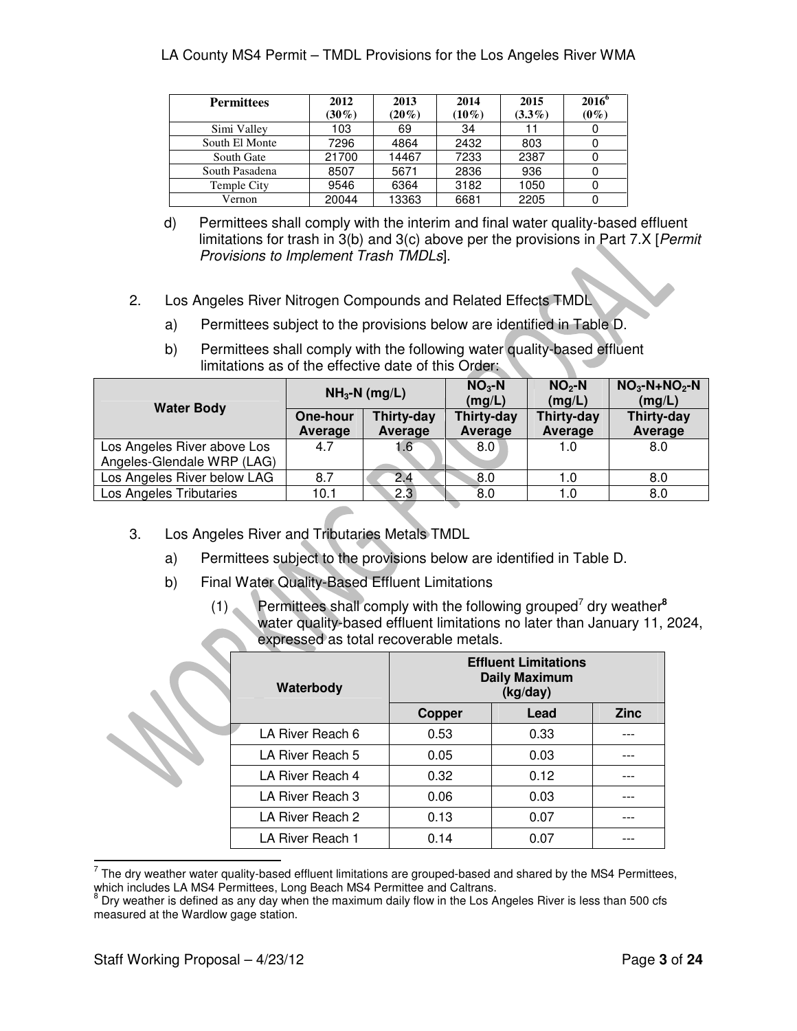| <b>Permittees</b> | 2012     | 2013     | 2014     | 2015      | $2016^{\circ}$ |
|-------------------|----------|----------|----------|-----------|----------------|
|                   | $(30\%)$ | $(20\%)$ | $(10\%)$ | $(3.3\%)$ | $(0\%)$        |
| Simi Valley       | 103      | 69       | 34       |           |                |
| South El Monte    | 7296     | 4864     | 2432     | 803       |                |
| South Gate        | 21700    | 14467    | 7233     | 2387      |                |
| South Pasadena    | 8507     | 5671     | 2836     | 936       |                |
| Temple City       | 9546     | 6364     | 3182     | 1050      |                |
| Vernon            | 20044    | 13363    | 6681     | 2205      |                |

- d) Permittees shall comply with the interim and final water quality-based effluent limitations for trash in  $3(b)$  and  $3(c)$  above per the provisions in Part 7.X [*Permit* Provisions to Implement Trash TMDLs].
- 2. Los Angeles River Nitrogen Compounds and Related Effects TMDL
	- a) Permittees subject to the provisions below are identified in Table D.

|                                                           | $NH3-N$ (mg/L)             |                       | $NO3$ -N<br>(mg/L)    | $NO2$ -N<br>(mg/L)    | $NO3-N+NO2-N$<br>(mg/L) |
|-----------------------------------------------------------|----------------------------|-----------------------|-----------------------|-----------------------|-------------------------|
| <b>Water Body</b>                                         | <b>One-hour</b><br>Average | Thirty-day<br>Average | Thirty-day<br>Average | Thirty-day<br>Average | Thirty-day<br>Average   |
| Los Angeles River above Los<br>Angeles-Glendale WRP (LAG) | 4.7                        | 1.6                   | 8.0                   | 1.0                   | 8.0                     |
| Los Angeles River below LAG                               | 8.7                        | 2.4                   | 8.0                   | 1.0                   | 8.0                     |
| Los Angeles Tributaries                                   | 10.1                       | 2.3                   | $\overline{8.0}$      | 1.0                   | 8.0                     |

b) Permittees shall comply with the following water quality-based effluent limitations as of the effective date of this Order:

- 3. Los Angeles River and Tributaries Metals TMDL
	- a) Permittees subject to the provisions below are identified in Table D.
	- b) Final Water Quality-Based Effluent Limitations
		- (1) Permittees shall comply with the following grouped<sup>7</sup> dry weather**<sup>8</sup>** water quality-based effluent limitations no later than January 11, 2024, expressed as total recoverable metals.

| Waterbody        |               | <b>Effluent Limitations</b><br><b>Daily Maximum</b><br>(kg/day) |             |
|------------------|---------------|-----------------------------------------------------------------|-------------|
|                  | <b>Copper</b> | Lead                                                            | <b>Zinc</b> |
| LA River Reach 6 | 0.53          | 0.33                                                            |             |
| LA River Reach 5 | 0.05          | 0.03                                                            |             |
| LA River Reach 4 | 0.32          | 0.12                                                            |             |
| LA River Reach 3 | 0.06          | 0.03                                                            |             |
| LA River Reach 2 | 0.13          | 0.07                                                            |             |
| LA River Reach 1 | 0.14          | 0.07                                                            |             |

The dry weather water quality-based effluent limitations are grouped-based and shared by the MS4 Permittees,

which includes LA MS4 Permittees, Long Beach MS4 Permittee and Caltrans.<br><sup>8</sup> Dry weather is defined as any day when the maximum daily flow in the Los Angeles River is less than 500 cfs measured at the Wardlow gage station.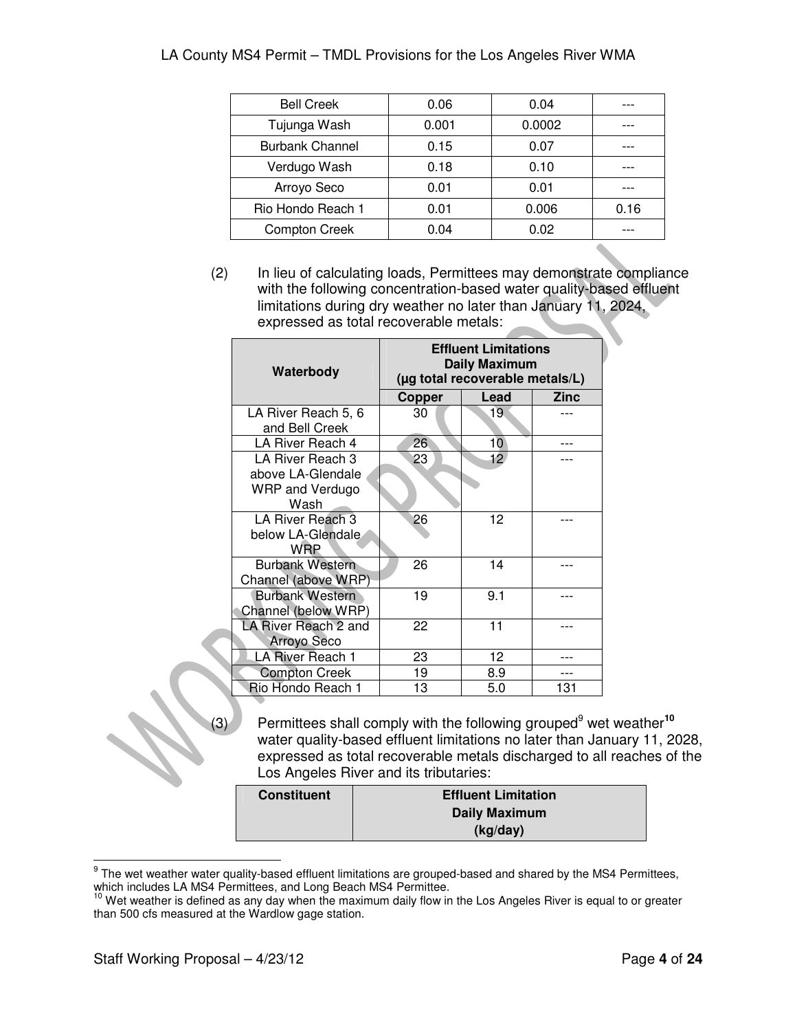| <b>Bell Creek</b>      | 0.06  | 0.04   |      |
|------------------------|-------|--------|------|
| Tujunga Wash           | 0.001 | 0.0002 |      |
| <b>Burbank Channel</b> | 0.15  | 0.07   |      |
| Verdugo Wash           | 0.18  | 0.10   |      |
| Arroyo Seco            | 0.01  | 0.01   |      |
| Rio Hondo Reach 1      | 0.01  | 0.006  | 0.16 |
| <b>Compton Creek</b>   | 0.04  | 0.02   |      |
|                        |       |        |      |

(2) In lieu of calculating loads, Permittees may demonstrate compliance with the following concentration-based water quality-based effluent limitations during dry weather no later than January 11, 2024, expressed as total recoverable metals:

| Waterbody                                                               | <b>Effluent Limitations</b><br>Daily Maximum<br>(µg total recoverable metals/L) |                 |      |  |  |
|-------------------------------------------------------------------------|---------------------------------------------------------------------------------|-----------------|------|--|--|
|                                                                         | Copper                                                                          | Lead            | Zinc |  |  |
| LA River Reach 5, 6<br>and Bell Creek                                   | 30                                                                              | 19              |      |  |  |
| LA River Reach 4                                                        | 26                                                                              | 10 <sup>°</sup> |      |  |  |
| LA River Reach 3<br>above LA-Glendale<br><b>WRP and Verdugo</b><br>Wash | 23                                                                              | 12              |      |  |  |
| LA River Reach 3<br>below LA-Glendale<br><b>WRP</b>                     | 26                                                                              | 12              |      |  |  |
| <b>Burbank Western</b><br>Channel (above WRP)                           | 26                                                                              | 14              |      |  |  |
| <b>Burbank Western</b><br>Channel (below WRP)                           | 19                                                                              | 9.1             |      |  |  |
| LA River Reach 2 and<br>Arroyo Seco                                     | 22                                                                              | 11              |      |  |  |
| LA River Reach 1                                                        | 23                                                                              | 12              |      |  |  |
| <b>Compton Creek</b>                                                    | 19                                                                              | 8.9             |      |  |  |
| Rio Hondo Reach 1                                                       | 13                                                                              | 5.0             | 131  |  |  |

(3) Permittees shall comply with the following grouped<sup>9</sup> wet weather**<sup>10</sup>** water quality-based effluent limitations no later than January 11, 2028, expressed as total recoverable metals discharged to all reaches of the Los Angeles River and its tributaries:

| <b>Constituent</b> | <b>Effluent Limitation</b> |
|--------------------|----------------------------|
|                    | <b>Daily Maximum</b>       |
|                    | (kg/day)                   |

<sup>&</sup>lt;u>ecan be wender water quality-based effluent limitations are grouped-based and shared by the MS4 Permittees, set<br>The wet weather water quality-based effluent limitations are grouped-based and shared by the MS4 Permittees,</u> which includes LA MS4 Permittees, and Long Beach MS4 Permittee.

<sup>&</sup>lt;sup>10</sup> Wet weather is defined as any day when the maximum daily flow in the Los Angeles River is equal to or greater than 500 cfs measured at the Wardlow gage station.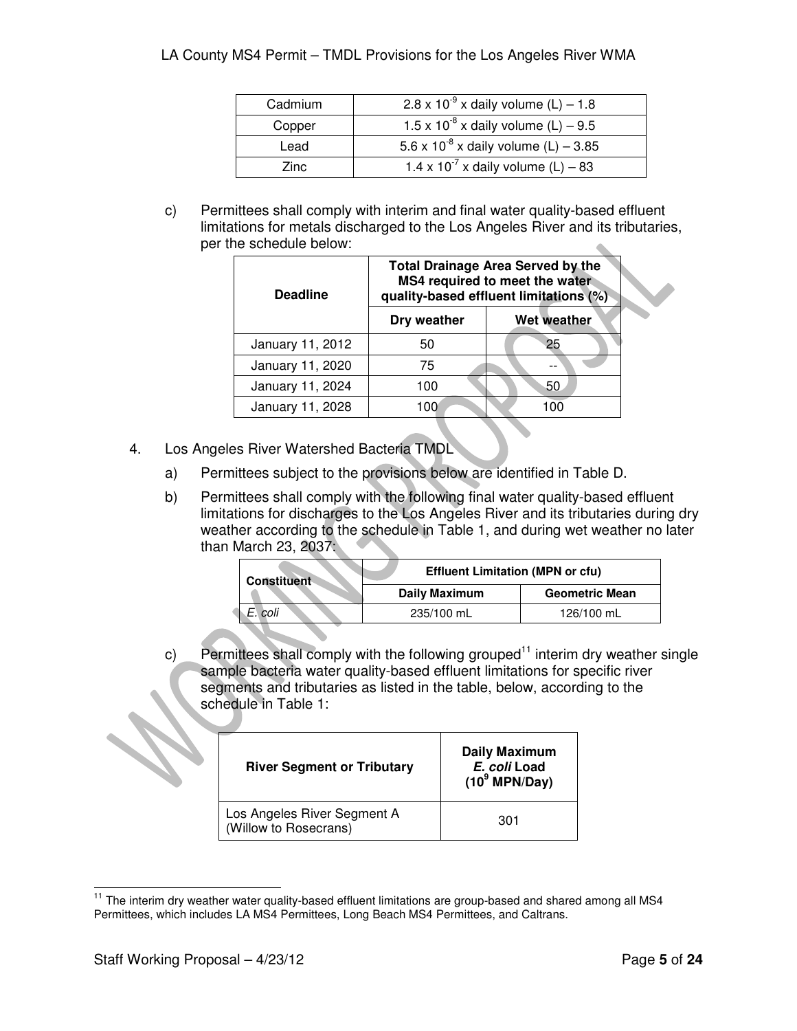| Cadmium | $2.8 \times 10^{-9}$ x daily volume (L) – 1.8    |
|---------|--------------------------------------------------|
| Copper  | 1.5 x 10 <sup>-8</sup> x daily volume (L) – 9.5  |
| Lead    | 5.6 x 10 <sup>-8</sup> x daily volume (L) – 3.85 |
| Zinc.   | 1.4 x 10 <sup>-7</sup> x daily volume (L) – 83   |

c) Permittees shall comply with interim and final water quality-based effluent limitations for metals discharged to the Los Angeles River and its tributaries, per the schedule below:  $\triangle$ 

| <b>Deadline</b>  | <b>Total Drainage Area Served by the</b><br>MS4 required to meet the water<br>quality-based effluent limitations (%) |                    |  |
|------------------|----------------------------------------------------------------------------------------------------------------------|--------------------|--|
|                  | Dry weather                                                                                                          | <b>Wet weather</b> |  |
| January 11, 2012 | 50                                                                                                                   | 25                 |  |
| January 11, 2020 | 75                                                                                                                   |                    |  |
| January 11, 2024 | 100                                                                                                                  | -50                |  |
| January 11, 2028 | 100                                                                                                                  |                    |  |

- 4. Los Angeles River Watershed Bacteria TMDL
	- a) Permittees subject to the provisions below are identified in Table D.
	- b) Permittees shall comply with the following final water quality-based effluent limitations for discharges to the Los Angeles River and its tributaries during dry weather according to the schedule in Table 1, and during wet weather no later than March 23, 2037:

| <b>Constituent</b> | <b>Effluent Limitation (MPN or cfu)</b> |                       |
|--------------------|-----------------------------------------|-----------------------|
|                    | <b>Daily Maximum</b>                    | <b>Geometric Mean</b> |
| E. coli            | 235/100 mL                              | 126/100 mL            |

c) Permittees shall comply with the following grouped<sup>11</sup> interim dry weather single sample bacteria water quality-based effluent limitations for specific river segments and tributaries as listed in the table, below, according to the schedule in Table 1:

| <b>River Segment or Tributary</b>                    | <b>Daily Maximum</b><br>E. coli Load<br>$(10^9 \text{ MPN/Day})$ |  |
|------------------------------------------------------|------------------------------------------------------------------|--|
| Los Angeles River Segment A<br>(Willow to Rosecrans) | 301                                                              |  |

 $\overline{a}$  $11$  The interim dry weather water quality-based effluent limitations are group-based and shared among all MS4 Permittees, which includes LA MS4 Permittees, Long Beach MS4 Permittees, and Caltrans.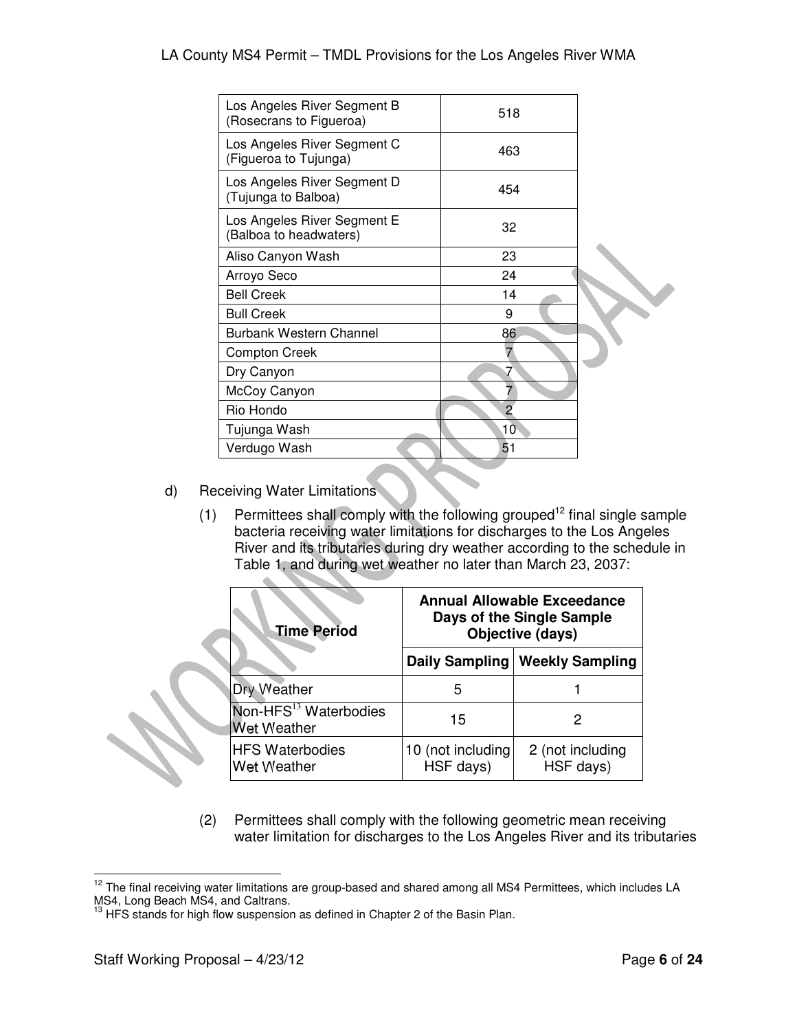| Los Angeles River Segment B<br>(Rosecrans to Figueroa) | 518 |  |
|--------------------------------------------------------|-----|--|
| Los Angeles River Segment C<br>(Figueroa to Tujunga)   | 463 |  |
| Los Angeles River Segment D<br>(Tujunga to Balboa)     | 454 |  |
| Los Angeles River Segment E<br>(Balboa to headwaters)  | 32  |  |
| Aliso Canyon Wash                                      | 23  |  |
| Arroyo Seco                                            | 24  |  |
| <b>Bell Creek</b>                                      | 14  |  |
| <b>Bull Creek</b>                                      | 9   |  |
| <b>Burbank Western Channel</b>                         | 86  |  |
| <b>Compton Creek</b>                                   |     |  |
| Dry Canyon                                             | 7   |  |
| McCoy Canyon                                           |     |  |
| Rio Hondo                                              | 2   |  |
| Tujunga Wash                                           | 10  |  |
| Verdugo Wash                                           | 51  |  |
|                                                        |     |  |

d) Receiving Water Limitations

 $\Delta \mathbf{r}$ 

(1) Permittees shall comply with the following grouped<sup>12</sup> final single sample bacteria receiving water limitations for discharges to the Los Angeles River and its tributaries during dry weather according to the schedule in Table 1, and during wet weather no later than March 23, 2037:

| <b>Time Period</b>                                      | <b>Annual Allowable Exceedance</b><br>Days of the Single Sample<br>Objective (days) |                               |  |
|---------------------------------------------------------|-------------------------------------------------------------------------------------|-------------------------------|--|
|                                                         | Daily Sampling                                                                      | <b>Weekly Sampling</b>        |  |
| <b>Dry Weather</b>                                      | 5                                                                                   |                               |  |
| Non-HFS <sup>13</sup> Waterbodies<br><b>Wet Weather</b> | 15                                                                                  | 2                             |  |
| <b>HFS Waterbodies</b><br><b>Wet Weather</b>            | 10 (not including<br>HSF days)                                                      | 2 (not including<br>HSF days) |  |

(2) Permittees shall comply with the following geometric mean receiving water limitation for discharges to the Los Angeles River and its tributaries

 $\overline{a}$  $12$  The final receiving water limitations are group-based and shared among all MS4 Permittees, which includes LA MS4, Long Beach MS4, and Caltrans.

 $13$  HFS stands for high flow suspension as defined in Chapter 2 of the Basin Plan.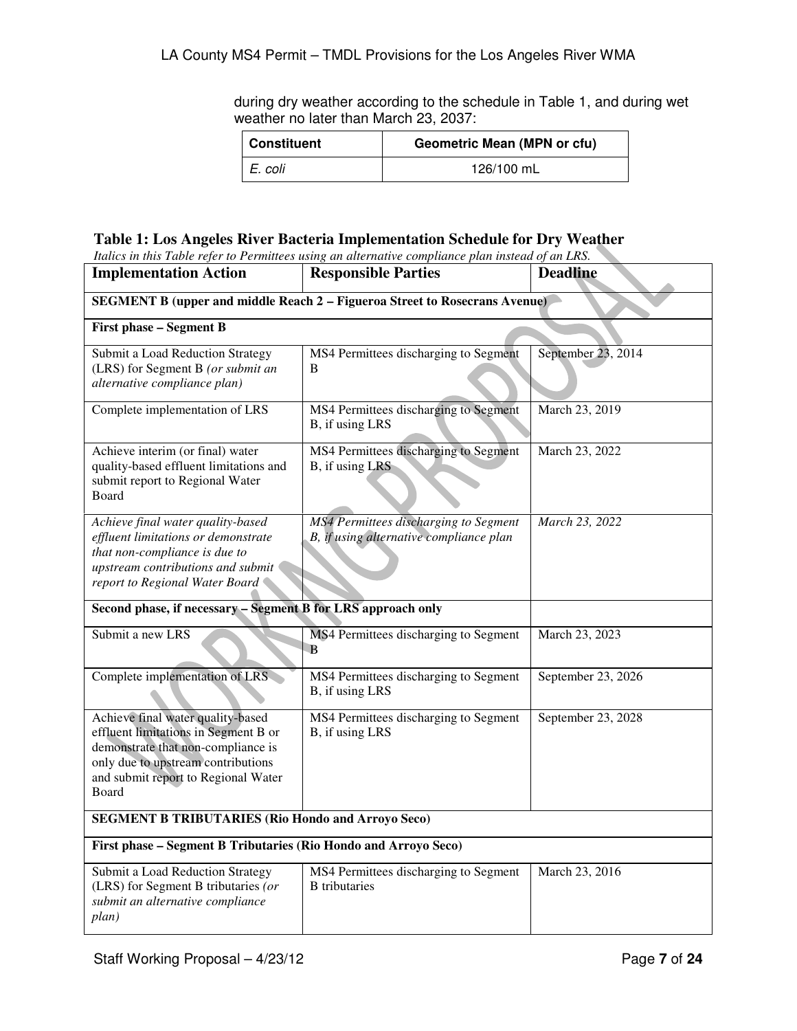during dry weather according to the schedule in Table 1, and during wet weather no later than March 23, 2037:

| Constituent | Geometric Mean (MPN or cfu) |  |
|-------------|-----------------------------|--|
| I E. coli   | 126/100 mL                  |  |

# **Table 1: Los Angeles River Bacteria Implementation Schedule for Dry Weather**

| Italics in this Table refer to Permittees using an alternative compliance plan instead of an LRS.                                                                                                     |                                                                                  |                    |  |
|-------------------------------------------------------------------------------------------------------------------------------------------------------------------------------------------------------|----------------------------------------------------------------------------------|--------------------|--|
| <b>Implementation Action</b>                                                                                                                                                                          | <b>Responsible Parties</b>                                                       | <b>Deadline</b>    |  |
| <b>SEGMENT B (upper and middle Reach 2 – Figueroa Street to Rosecrans Avenue)</b>                                                                                                                     |                                                                                  |                    |  |
| <b>First phase - Segment B</b>                                                                                                                                                                        |                                                                                  |                    |  |
| Submit a Load Reduction Strategy<br>(LRS) for Segment B (or submit an<br>alternative compliance plan)                                                                                                 | MS4 Permittees discharging to Segment<br>B                                       | September 23, 2014 |  |
| Complete implementation of LRS                                                                                                                                                                        | MS4 Permittees discharging to Segment<br>B, if using LRS                         | March 23, 2019     |  |
| Achieve interim (or final) water<br>quality-based effluent limitations and<br>submit report to Regional Water<br>Board                                                                                | MS4 Permittees discharging to Segment<br>B, if using LRS                         | March 23, 2022     |  |
| Achieve final water quality-based<br>effluent limitations or demonstrate<br>that non-compliance is due to<br>upstream contributions and submit<br>report to Regional Water Board                      | MS4 Permittees discharging to Segment<br>B, if using alternative compliance plan | March 23, 2022     |  |
| Second phase, if necessary - Segment B for LRS approach only                                                                                                                                          |                                                                                  |                    |  |
| Submit a new LRS                                                                                                                                                                                      | MS4 Permittees discharging to Segment<br>B                                       | March 23, 2023     |  |
| Complete implementation of LRS                                                                                                                                                                        | MS4 Permittees discharging to Segment<br>B, if using LRS                         | September 23, 2026 |  |
| Achieve final water quality-based<br>effluent limitations in Segment B or<br>demonstrate that non-compliance is<br>only due to upstream contributions<br>and submit report to Regional Water<br>Board | MS4 Permittees discharging to Segment<br>B, if using LRS                         | September 23, 2028 |  |
| <b>SEGMENT B TRIBUTARIES (Rio Hondo and Arroyo Seco)</b>                                                                                                                                              |                                                                                  |                    |  |
| First phase - Segment B Tributaries (Rio Hondo and Arroyo Seco)                                                                                                                                       |                                                                                  |                    |  |
| Submit a Load Reduction Strategy<br>(LRS) for Segment B tributaries (or<br>submit an alternative compliance<br>plan)                                                                                  | MS4 Permittees discharging to Segment<br><b>B</b> tributaries                    | March 23, 2016     |  |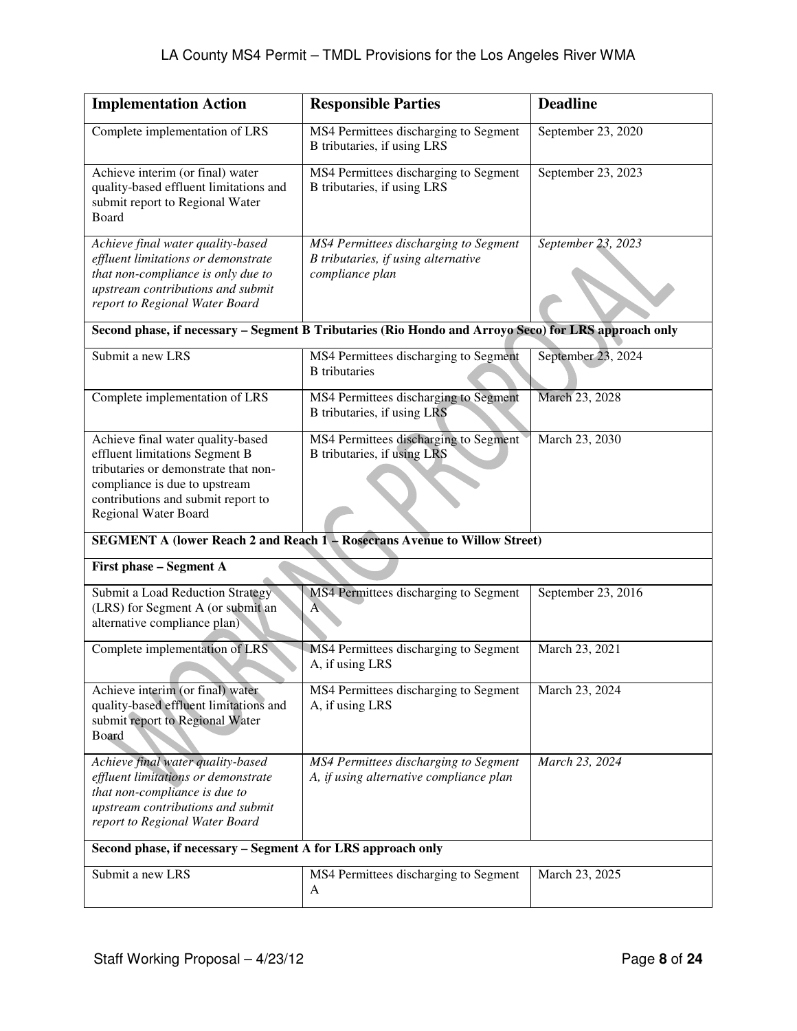| <b>Implementation Action</b>                                                                                                                                                                               | <b>Responsible Parties</b>                                                                           | <b>Deadline</b>    |
|------------------------------------------------------------------------------------------------------------------------------------------------------------------------------------------------------------|------------------------------------------------------------------------------------------------------|--------------------|
| Complete implementation of LRS                                                                                                                                                                             | MS4 Permittees discharging to Segment<br>B tributaries, if using LRS                                 | September 23, 2020 |
| Achieve interim (or final) water<br>quality-based effluent limitations and<br>submit report to Regional Water<br>Board                                                                                     | MS4 Permittees discharging to Segment<br>B tributaries, if using LRS                                 | September 23, 2023 |
| Achieve final water quality-based<br>effluent limitations or demonstrate<br>that non-compliance is only due to<br>upstream contributions and submit<br>report to Regional Water Board                      | MS4 Permittees discharging to Segment<br>B tributaries, if using alternative<br>compliance plan      | September 23, 2023 |
|                                                                                                                                                                                                            | Second phase, if necessary - Segment B Tributaries (Rio Hondo and Arroyo Seco) for LRS approach only |                    |
| Submit a new LRS                                                                                                                                                                                           | MS4 Permittees discharging to Segment<br><b>B</b> tributaries                                        | September 23, 2024 |
| Complete implementation of LRS                                                                                                                                                                             | MS4 Permittees discharging to Segment<br>B tributaries, if using LRS                                 | March 23, 2028     |
| Achieve final water quality-based<br>effluent limitations Segment B<br>tributaries or demonstrate that non-<br>compliance is due to upstream<br>contributions and submit report to<br>Regional Water Board | MS4 Permittees discharging to Segment<br>B tributaries, if using LRS                                 | March 23, 2030     |
|                                                                                                                                                                                                            | SEGMENT A (lower Reach 2 and Reach 1 - Rosecrans Avenue to Willow Street)                            |                    |
| First phase - Segment A                                                                                                                                                                                    |                                                                                                      |                    |
| Submit a Load Reduction Strategy<br>(LRS) for Segment A (or submit an<br>alternative compliance plan)                                                                                                      | MS4 Permittees discharging to Segment<br>$A^{\dagger}$                                               | September 23, 2016 |
| Complete implementation of LRS                                                                                                                                                                             | MS4 Permittees discharging to Segment<br>A, if using LRS                                             | March 23, 2021     |
| Achieve interim (or final) water<br>quality-based effluent limitations and<br>submit report to Regional Water<br>Board                                                                                     | MS4 Permittees discharging to Segment<br>A, if using LRS                                             | March 23, 2024     |
| Achieve final water quality-based<br>effluent limitations or demonstrate<br>that non-compliance is due to<br>upstream contributions and submit<br>report to Regional Water Board                           | MS4 Permittees discharging to Segment<br>A, if using alternative compliance plan                     | March 23, 2024     |
| Second phase, if necessary - Segment A for LRS approach only                                                                                                                                               |                                                                                                      |                    |
| Submit a new LRS                                                                                                                                                                                           | MS4 Permittees discharging to Segment<br>A                                                           | March 23, 2025     |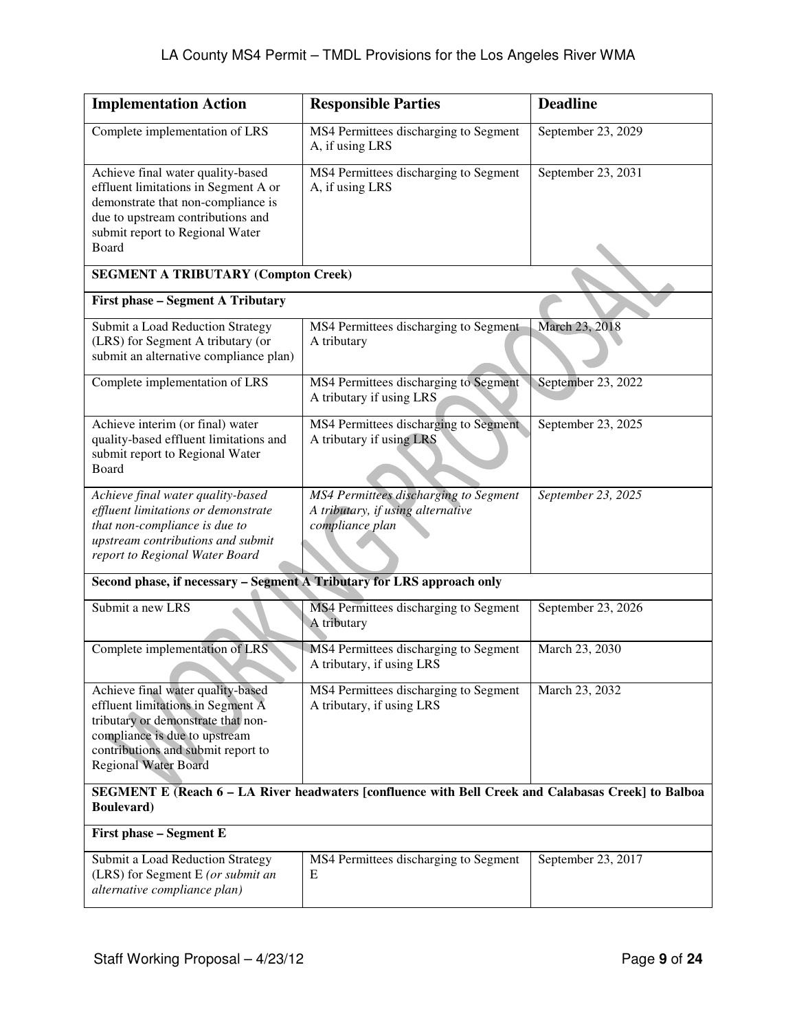| <b>Implementation Action</b>                                                                                                                                                                                       | <b>Responsible Parties</b>                                                                    | <b>Deadline</b>    |
|--------------------------------------------------------------------------------------------------------------------------------------------------------------------------------------------------------------------|-----------------------------------------------------------------------------------------------|--------------------|
| Complete implementation of LRS                                                                                                                                                                                     | MS4 Permittees discharging to Segment<br>A, if using LRS                                      | September 23, 2029 |
| Achieve final water quality-based<br>effluent limitations in Segment A or<br>demonstrate that non-compliance is<br>due to upstream contributions and<br>submit report to Regional Water<br>Board                   | MS4 Permittees discharging to Segment<br>A, if using LRS                                      | September 23, 2031 |
| <b>SEGMENT A TRIBUTARY (Compton Creek)</b>                                                                                                                                                                         |                                                                                               |                    |
| <b>First phase - Segment A Tributary</b>                                                                                                                                                                           |                                                                                               |                    |
| Submit a Load Reduction Strategy<br>(LRS) for Segment A tributary (or<br>submit an alternative compliance plan)                                                                                                    | MS4 Permittees discharging to Segment<br>A tributary                                          | March 23, 2018     |
| Complete implementation of LRS                                                                                                                                                                                     | MS4 Permittees discharging to Segment<br>A tributary if using LRS                             | September 23, 2022 |
| Achieve interim (or final) water<br>quality-based effluent limitations and<br>submit report to Regional Water<br>Board                                                                                             | MS4 Permittees discharging to Segment<br>A tributary if using LRS                             | September 23, 2025 |
| Achieve final water quality-based<br>effluent limitations or demonstrate<br>that non-compliance is due to<br>upstream contributions and submit<br>report to Regional Water Board                                   | MS4 Permittees discharging to Segment<br>A tributary, if using alternative<br>compliance plan | September 23, 2025 |
| Second phase, if necessary - Segment A Tributary for LRS approach only                                                                                                                                             |                                                                                               |                    |
| Submit a new LRS                                                                                                                                                                                                   | MS4 Permittees discharging to Segment<br>A tributary                                          | September 23, 2026 |
| Complete implementation of LRS                                                                                                                                                                                     | MS4 Permittees discharging to Segment<br>A tributary, if using LRS                            | March 23, 2030     |
| Achieve final water quality-based<br>effluent limitations in Segment A<br>tributary or demonstrate that non-<br>compliance is due to upstream<br>contributions and submit report to<br><b>Regional Water Board</b> | MS4 Permittees discharging to Segment<br>A tributary, if using LRS                            | March 23, 2032     |
| SEGMENT E (Reach 6 - LA River headwaters [confluence with Bell Creek and Calabasas Creek] to Balboa<br><b>Boulevard</b> )                                                                                          |                                                                                               |                    |
| First phase - Segment E                                                                                                                                                                                            |                                                                                               |                    |
| Submit a Load Reduction Strategy<br>(LRS) for Segment E (or submit an<br>alternative compliance plan)                                                                                                              | MS4 Permittees discharging to Segment<br>E                                                    | September 23, 2017 |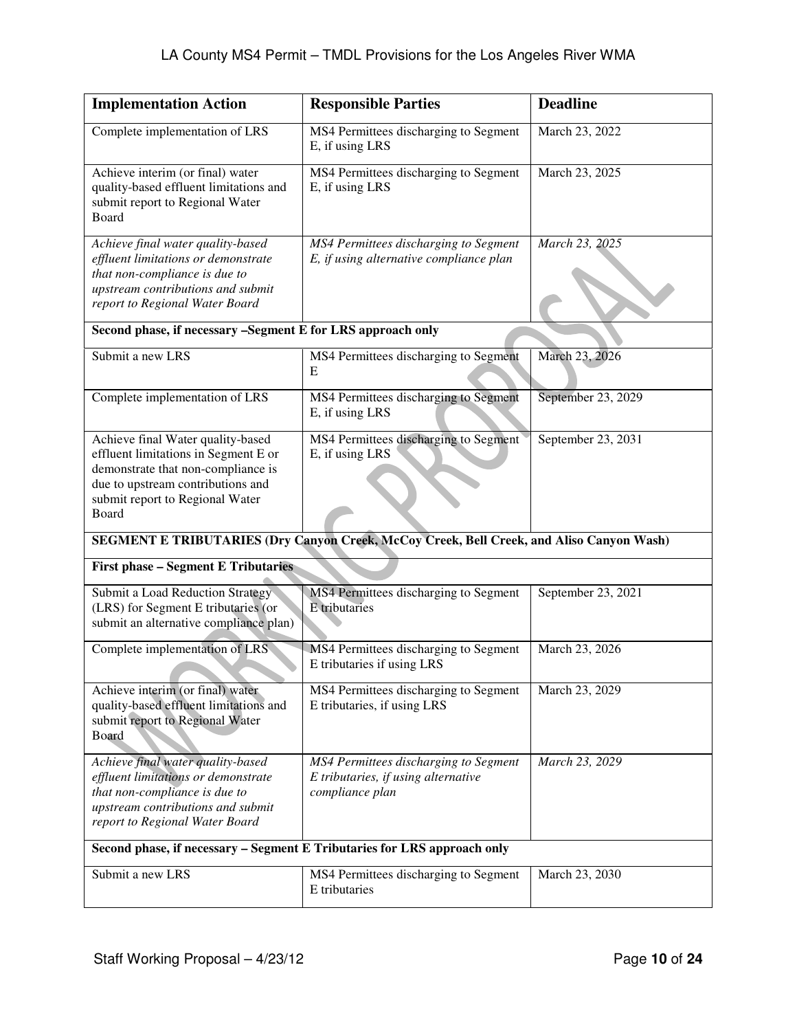| <b>Implementation Action</b>                                                                                                                                                                     | <b>Responsible Parties</b>                                                                      | <b>Deadline</b>    |
|--------------------------------------------------------------------------------------------------------------------------------------------------------------------------------------------------|-------------------------------------------------------------------------------------------------|--------------------|
| Complete implementation of LRS                                                                                                                                                                   | MS4 Permittees discharging to Segment<br>E, if using LRS                                        | March 23, 2022     |
| Achieve interim (or final) water<br>quality-based effluent limitations and<br>submit report to Regional Water<br>Board                                                                           | MS4 Permittees discharging to Segment<br>E, if using LRS                                        | March 23, 2025     |
| Achieve final water quality-based<br>effluent limitations or demonstrate<br>that non-compliance is due to<br>upstream contributions and submit<br>report to Regional Water Board                 | MS4 Permittees discharging to Segment<br>E, if using alternative compliance plan                | March 23, 2025     |
| Second phase, if necessary -Segment E for LRS approach only                                                                                                                                      |                                                                                                 |                    |
| Submit a new LRS                                                                                                                                                                                 | MS4 Permittees discharging to Segment<br>E                                                      | March 23, 2026     |
| Complete implementation of LRS                                                                                                                                                                   | MS4 Permittees discharging to Segment<br>E, if using LRS                                        | September 23, 2029 |
| Achieve final Water quality-based<br>effluent limitations in Segment E or<br>demonstrate that non-compliance is<br>due to upstream contributions and<br>submit report to Regional Water<br>Board | MS4 Permittees discharging to Segment<br>E, if using LRS                                        | September 23, 2031 |
|                                                                                                                                                                                                  | SEGMENT E TRIBUTARIES (Dry Canyon Creek, McCoy Creek, Bell Creek, and Aliso Canyon Wash)        |                    |
| <b>First phase - Segment E Tributaries</b>                                                                                                                                                       |                                                                                                 |                    |
| Submit a Load Reduction Strategy<br>(LRS) for Segment E tributaries (or<br>submit an alternative compliance plan)                                                                                | MS4 Permittees discharging to Segment<br><b>E</b> tributaries                                   | September 23, 2021 |
| Complete implementation of LRS                                                                                                                                                                   | MS4 Permittees discharging to Segment<br>E tributaries if using LRS                             | March 23, 2026     |
| Achieve interim (or final) water<br>quality-based effluent limitations and<br>submit report to Regional Water<br>Board                                                                           | MS4 Permittees discharging to Segment<br>E tributaries, if using LRS                            | March 23, 2029     |
| Achieve final water quality-based<br>effluent limitations or demonstrate<br>that non-compliance is due to<br>upstream contributions and submit<br>report to Regional Water Board                 | MS4 Permittees discharging to Segment<br>E tributaries, if using alternative<br>compliance plan | March 23, 2029     |
|                                                                                                                                                                                                  | Second phase, if necessary - Segment E Tributaries for LRS approach only                        |                    |
| Submit a new LRS                                                                                                                                                                                 | MS4 Permittees discharging to Segment<br>E tributaries                                          | March 23, 2030     |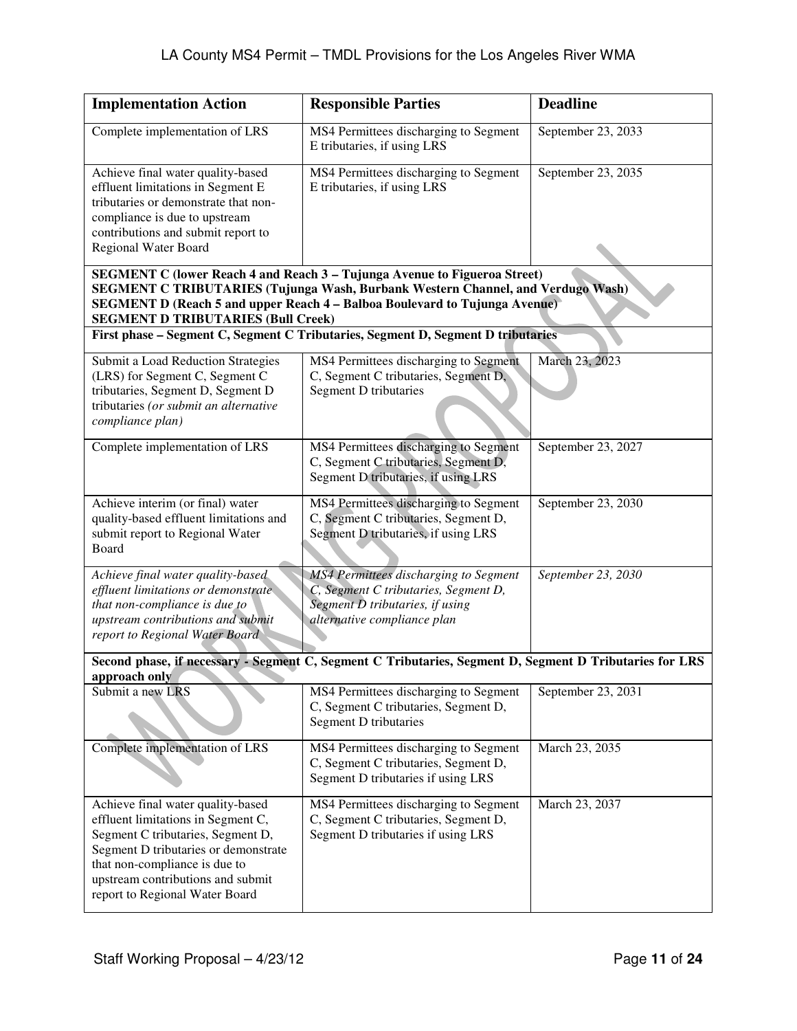| <b>Implementation Action</b>                                                                                                                                                                                                                                 | <b>Responsible Parties</b>                                                                                                                                                                                                                        | <b>Deadline</b>    |
|--------------------------------------------------------------------------------------------------------------------------------------------------------------------------------------------------------------------------------------------------------------|---------------------------------------------------------------------------------------------------------------------------------------------------------------------------------------------------------------------------------------------------|--------------------|
| Complete implementation of LRS                                                                                                                                                                                                                               | MS4 Permittees discharging to Segment<br>E tributaries, if using LRS                                                                                                                                                                              | September 23, 2033 |
| Achieve final water quality-based<br>effluent limitations in Segment E<br>tributaries or demonstrate that non-<br>compliance is due to upstream<br>contributions and submit report to<br><b>Regional Water Board</b>                                         | MS4 Permittees discharging to Segment<br>E tributaries, if using LRS                                                                                                                                                                              | September 23, 2035 |
| <b>SEGMENT D TRIBUTARIES (Bull Creek)</b>                                                                                                                                                                                                                    | SEGMENT C (lower Reach 4 and Reach 3 - Tujunga Avenue to Figueroa Street)<br><b>SEGMENT C TRIBUTARIES (Tujunga Wash, Burbank Western Channel, and Verdugo Wash)</b><br>SEGMENT D (Reach 5 and upper Reach 4 - Balboa Boulevard to Tujunga Avenue) |                    |
|                                                                                                                                                                                                                                                              | First phase - Segment C, Segment C Tributaries, Segment D, Segment D tributaries                                                                                                                                                                  |                    |
| Submit a Load Reduction Strategies<br>(LRS) for Segment C, Segment C<br>tributaries, Segment D, Segment D<br>tributaries (or submit an alternative<br>compliance plan)                                                                                       | MS4 Permittees discharging to Segment<br>C, Segment C tributaries, Segment D,<br>Segment D tributaries                                                                                                                                            | March 23, 2023     |
| Complete implementation of LRS                                                                                                                                                                                                                               | MS4 Permittees discharging to Segment<br>C, Segment C tributaries, Segment D,<br>Segment D tributaries, if using LRS                                                                                                                              | September 23, 2027 |
| Achieve interim (or final) water<br>quality-based effluent limitations and<br>submit report to Regional Water<br>Board                                                                                                                                       | MS4 Permittees discharging to Segment<br>C, Segment C tributaries, Segment D,<br>Segment D tributaries, if using LRS                                                                                                                              | September 23, 2030 |
| Achieve final water quality-based<br>effluent limitations or demonstrate<br>that non-compliance is due to<br>upstream contributions and submit<br>report to Regional Water Board                                                                             | <b>MS4</b> Permittees discharging to Segment<br>C, Segment C tributaries, Segment D,<br>Segment D tributaries, if using<br>alternative compliance plan                                                                                            | September 23, 2030 |
| approach only                                                                                                                                                                                                                                                | Second phase, if necessary - Segment C, Segment C Tributaries, Segment D, Segment D Tributaries for LRS                                                                                                                                           |                    |
| Submit a new LRS                                                                                                                                                                                                                                             | MS4 Permittees discharging to Segment<br>C, Segment C tributaries, Segment D,<br>Segment D tributaries                                                                                                                                            | September 23, 2031 |
| Complete implementation of LRS                                                                                                                                                                                                                               | MS4 Permittees discharging to Segment<br>C, Segment C tributaries, Segment D,<br>Segment D tributaries if using LRS                                                                                                                               | March 23, 2035     |
| Achieve final water quality-based<br>effluent limitations in Segment C,<br>Segment C tributaries, Segment D,<br>Segment D tributaries or demonstrate<br>that non-compliance is due to<br>upstream contributions and submit<br>report to Regional Water Board | MS4 Permittees discharging to Segment<br>C, Segment C tributaries, Segment D,<br>Segment D tributaries if using LRS                                                                                                                               | March 23, 2037     |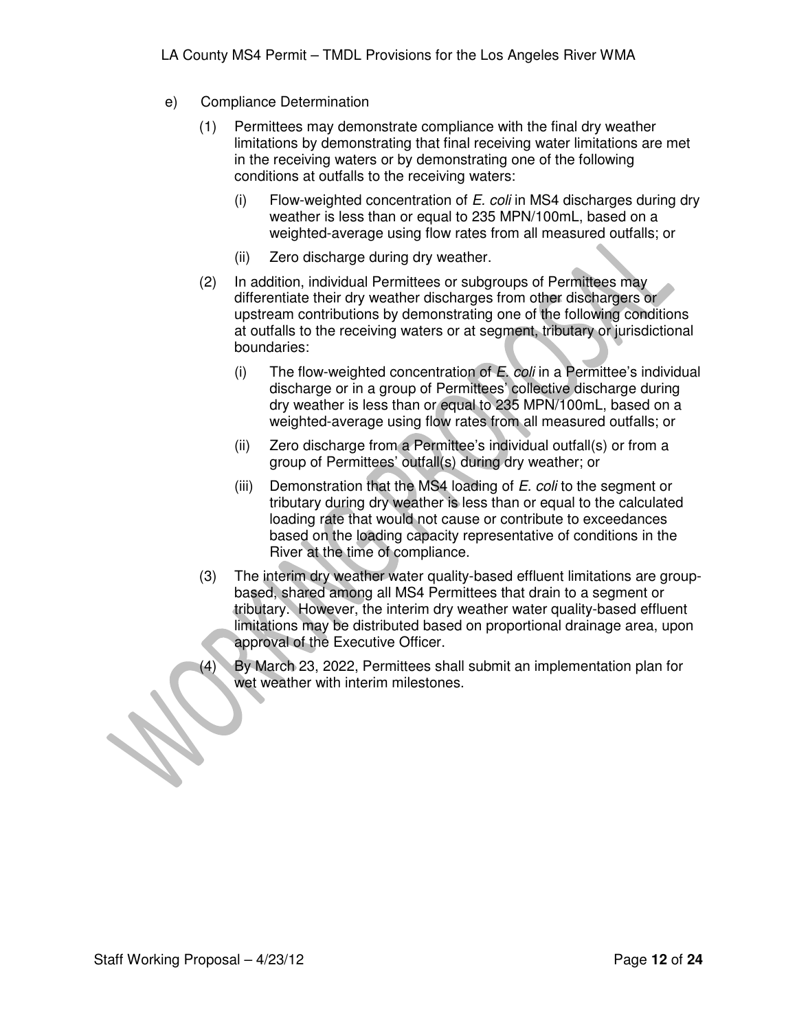- e) Compliance Determination
	- (1) Permittees may demonstrate compliance with the final dry weather limitations by demonstrating that final receiving water limitations are met in the receiving waters or by demonstrating one of the following conditions at outfalls to the receiving waters:
		- (i) Flow-weighted concentration of  $E$ . coli in MS4 discharges during dry weather is less than or equal to 235 MPN/100mL, based on a weighted-average using flow rates from all measured outfalls; or
		- (ii) Zero discharge during dry weather.
	- (2) In addition, individual Permittees or subgroups of Permittees may differentiate their dry weather discharges from other dischargers or upstream contributions by demonstrating one of the following conditions at outfalls to the receiving waters or at segment, tributary or jurisdictional boundaries:
		- (i) The flow-weighted concentration of  $E$ . *coli* in a Permittee's individual discharge or in a group of Permittees' collective discharge during dry weather is less than or equal to 235 MPN/100mL, based on a weighted-average using flow rates from all measured outfalls; or
		- (ii) Zero discharge from a Permittee's individual outfall(s) or from a group of Permittees' outfall(s) during dry weather; or
		- (iii) Demonstration that the MS4 loading of  $E$ . coli to the segment or tributary during dry weather is less than or equal to the calculated loading rate that would not cause or contribute to exceedances based on the loading capacity representative of conditions in the River at the time of compliance.
	- (3) The interim dry weather water quality-based effluent limitations are groupbased, shared among all MS4 Permittees that drain to a segment or tributary. However, the interim dry weather water quality-based effluent limitations may be distributed based on proportional drainage area, upon approval of the Executive Officer.
	- (4) By March 23, 2022, Permittees shall submit an implementation plan for wet weather with interim milestones.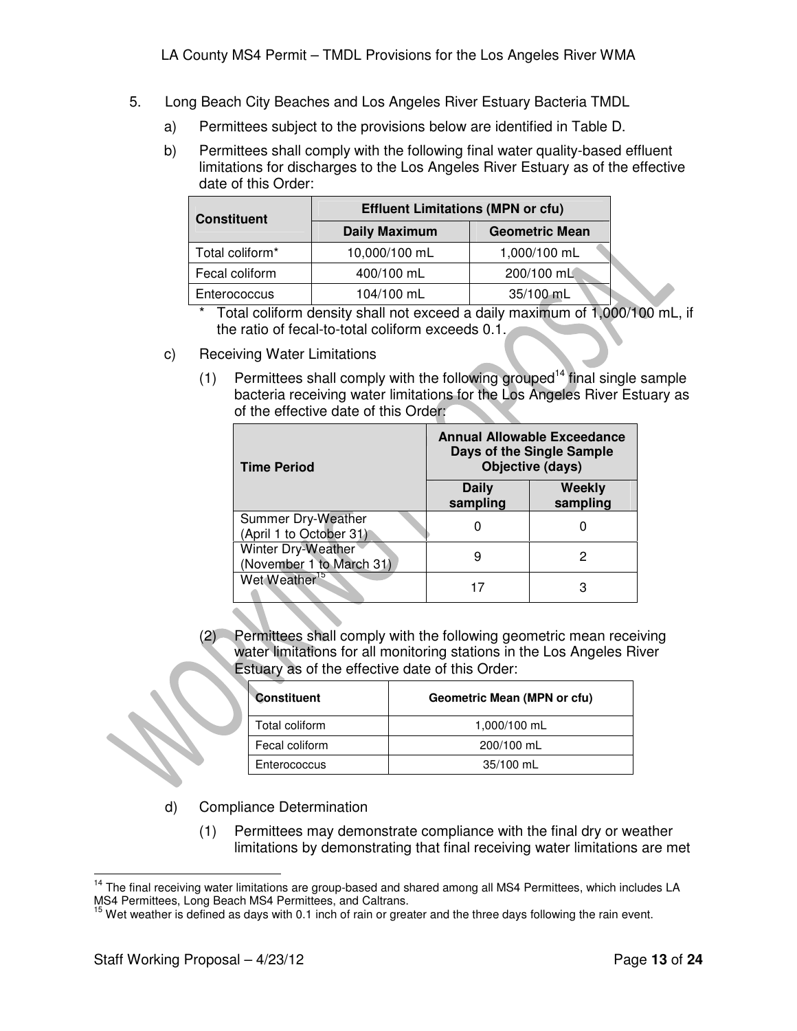- 5. Long Beach City Beaches and Los Angeles River Estuary Bacteria TMDL
	- a) Permittees subject to the provisions below are identified in Table D.
	- b) Permittees shall comply with the following final water quality-based effluent limitations for discharges to the Los Angeles River Estuary as of the effective date of this Order:

| <b>Constituent</b> | <b>Effluent Limitations (MPN or cfu)</b> |                       |  |
|--------------------|------------------------------------------|-----------------------|--|
|                    | <b>Daily Maximum</b>                     | <b>Geometric Mean</b> |  |
| Total coliform*    | 10,000/100 mL                            | 1,000/100 mL          |  |
| Fecal coliform     | 400/100 mL                               | 200/100 mL            |  |
| Enterococcus       | 104/100 mL                               | 35/100 mL             |  |

Total coliform density shall not exceed a daily maximum of 1,000/100 mL, if the ratio of fecal-to-total coliform exceeds 0.1.

- c) Receiving Water Limitations
	- (1) Permittees shall comply with the following grouped<sup>14</sup> final single sample bacteria receiving water limitations for the Los Angeles River Estuary as of the effective date of this Order:

| <b>Time Period</b>                             | <b>Annual Allowable Exceedance</b><br>Days of the Single Sample<br>Objective (days) |                    |
|------------------------------------------------|-------------------------------------------------------------------------------------|--------------------|
|                                                | <b>Daily</b><br>sampling                                                            | Weekly<br>sampling |
| Summer Dry-Weather<br>(April 1 to October 31)  |                                                                                     |                    |
| Winter Dry-Weather<br>(November 1 to March 31) | 9                                                                                   | 2                  |
| Wet Weather <sup>15</sup>                      |                                                                                     |                    |

(2) Permittees shall comply with the following geometric mean receiving water limitations for all monitoring stations in the Los Angeles River Estuary as of the effective date of this Order:

| <b>Constituent</b> | Geometric Mean (MPN or cfu) |  |
|--------------------|-----------------------------|--|
| Total coliform     | 1,000/100 mL                |  |
| Fecal coliform     | 200/100 mL                  |  |
| Enterococcus       | $35/100$ mL                 |  |

- d) Compliance Determination
	- (1) Permittees may demonstrate compliance with the final dry or weather limitations by demonstrating that final receiving water limitations are met

 $\overline{a}$ <sup>14</sup> The final receiving water limitations are group-based and shared among all MS4 Permittees, which includes LA MS4 Permittees, Long Beach MS4 Permittees, and Caltrans.

<sup>&</sup>lt;sup>15</sup> Wet weather is defined as days with 0.1 inch of rain or greater and the three days following the rain event.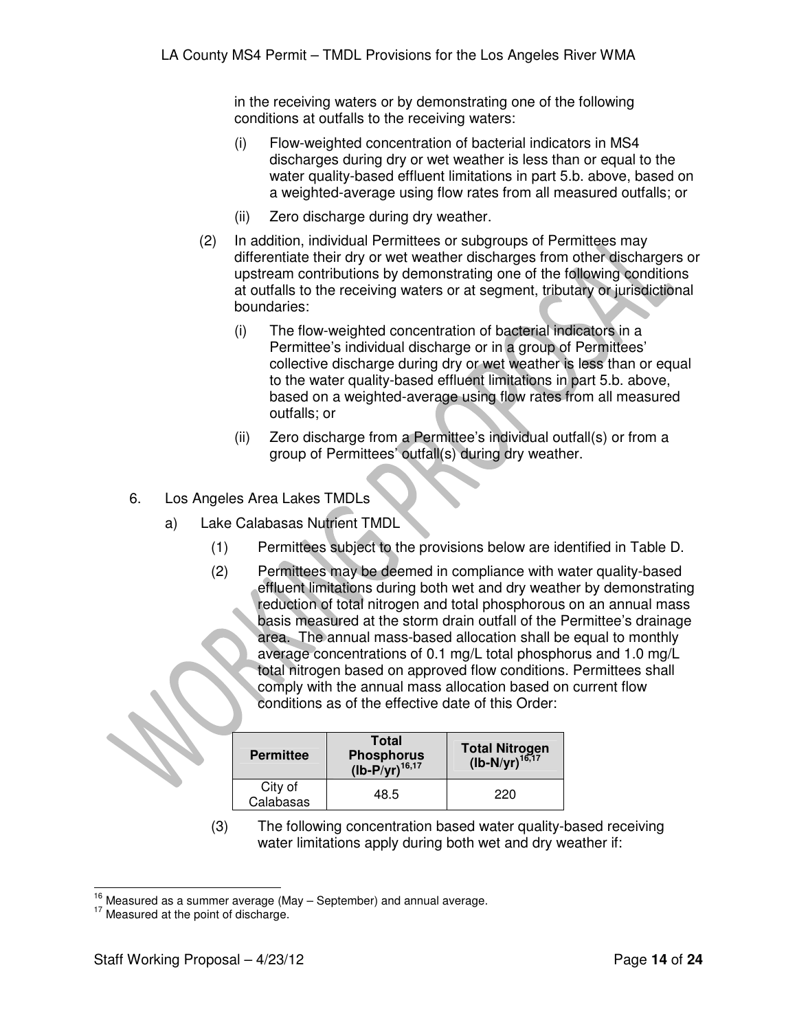in the receiving waters or by demonstrating one of the following conditions at outfalls to the receiving waters:

- (i) Flow-weighted concentration of bacterial indicators in MS4 discharges during dry or wet weather is less than or equal to the water quality-based effluent limitations in part 5.b. above, based on a weighted-average using flow rates from all measured outfalls; or
- (ii) Zero discharge during dry weather.
- (2) In addition, individual Permittees or subgroups of Permittees may differentiate their dry or wet weather discharges from other dischargers or upstream contributions by demonstrating one of the following conditions at outfalls to the receiving waters or at segment, tributary or jurisdictional boundaries:
	- (i) The flow-weighted concentration of bacterial indicators in a Permittee's individual discharge or in a group of Permittees' collective discharge during dry or wet weather is less than or equal to the water quality-based effluent limitations in part 5.b. above, based on a weighted-average using flow rates from all measured outfalls; or
	- (ii) Zero discharge from a Permittee's individual outfall(s) or from a group of Permittees' outfall(s) during dry weather.
- 6. Los Angeles Area Lakes TMDLs
	- a) Lake Calabasas Nutrient TMDL
		- (1) Permittees subject to the provisions below are identified in Table D.
		- (2) Permittees may be deemed in compliance with water quality-based effluent limitations during both wet and dry weather by demonstrating reduction of total nitrogen and total phosphorous on an annual mass basis measured at the storm drain outfall of the Permittee's drainage area. The annual mass-based allocation shall be equal to monthly average concentrations of 0.1 mg/L total phosphorus and 1.0 mg/L total nitrogen based on approved flow conditions. Permittees shall comply with the annual mass allocation based on current flow conditions as of the effective date of this Order:

| <b>Permittee</b>     | <b>Total</b><br>Phosphorus<br>(lb-P/yr) <sup>16,17</sup> | Total Nitrogen<br>(lb-N/yr) <sup>16,17</sup> |
|----------------------|----------------------------------------------------------|----------------------------------------------|
| City of<br>Calabasas | 48.5                                                     | 220                                          |

(3) The following concentration based water quality-based receiving water limitations apply during both wet and dry weather if:

 $\overline{a}$  $16 \nvert$  Measured as a summer average (May – September) and annual average.

<sup>&</sup>lt;sup>17</sup> Measured at the point of discharge.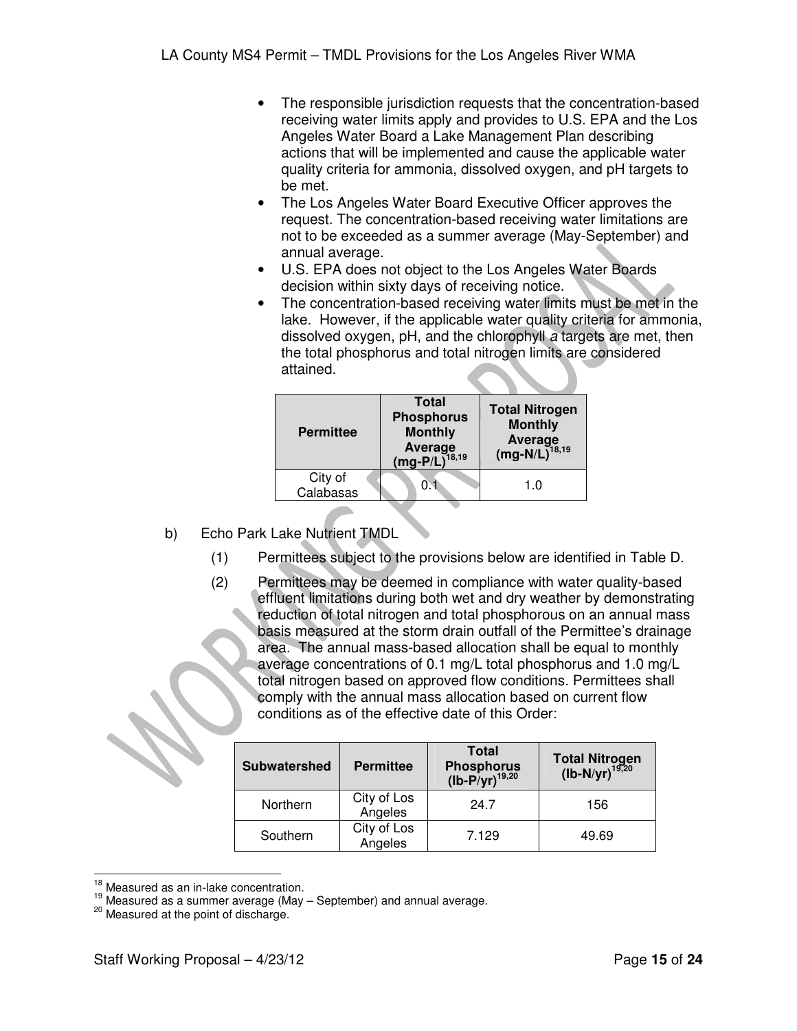- The responsible jurisdiction requests that the concentration-based receiving water limits apply and provides to U.S. EPA and the Los Angeles Water Board a Lake Management Plan describing actions that will be implemented and cause the applicable water quality criteria for ammonia, dissolved oxygen, and pH targets to be met.
- The Los Angeles Water Board Executive Officer approves the request. The concentration-based receiving water limitations are not to be exceeded as a summer average (May-September) and annual average.
- U.S. EPA does not object to the Los Angeles Water Boards decision within sixty days of receiving notice.
- The concentration-based receiving water limits must be met in the lake. However, if the applicable water quality criteria for ammonia, dissolved oxygen, pH, and the chlorophyll a targets are met, then the total phosphorus and total nitrogen limits are considered attained.

| <b>Permittee</b>     | Total<br><b>Phosphorus</b><br><b>Monthly</b><br>Average<br>$(mg-P/L)^{18,19}$ | <b>Total Nitrogen</b><br><b>Monthly</b><br>Average<br>(mg-N/L) <sup>18,19</sup> |
|----------------------|-------------------------------------------------------------------------------|---------------------------------------------------------------------------------|
| City of<br>Calabasas | ON.                                                                           | 1.0                                                                             |

- b) Echo Park Lake Nutrient TMDL
	- (1) Permittees subject to the provisions below are identified in Table D.
	- (2) Permittees may be deemed in compliance with water quality-based effluent limitations during both wet and dry weather by demonstrating reduction of total nitrogen and total phosphorous on an annual mass basis measured at the storm drain outfall of the Permittee's drainage area. The annual mass-based allocation shall be equal to monthly average concentrations of 0.1 mg/L total phosphorus and 1.0 mg/L total nitrogen based on approved flow conditions. Permittees shall comply with the annual mass allocation based on current flow conditions as of the effective date of this Order:

| <b>Subwatershed</b> | <b>Permittee</b>       | <b>Total</b><br>Phosphorus<br>(lb-P/yr) <sup>19,20</sup> | Total Nitrogen<br>(lb-N/yr) <sup>19,20</sup> |
|---------------------|------------------------|----------------------------------------------------------|----------------------------------------------|
| Northern            | City of Los<br>Angeles | 24.7                                                     | 156                                          |
| Southern            | City of Los<br>Angeles | 7.129                                                    | 49.69                                        |

 $\overline{a}$  $18$  Measured as an in-lake concentration.

 $19$  Measured as a summer average (May  $-$  September) and annual average.

<sup>20</sup> Measured at the point of discharge.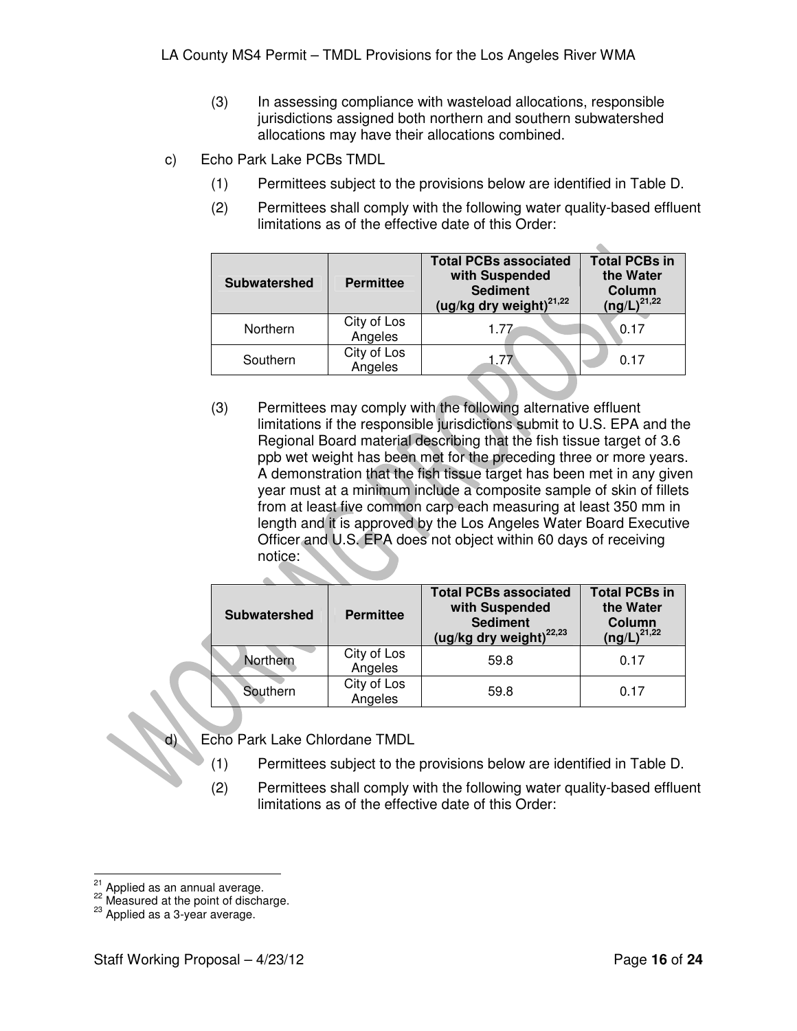- (3) In assessing compliance with wasteload allocations, responsible jurisdictions assigned both northern and southern subwatershed allocations may have their allocations combined.
- c) Echo Park Lake PCBs TMDL
	- (1) Permittees subject to the provisions below are identified in Table D.
	- (2) Permittees shall comply with the following water quality-based effluent limitations as of the effective date of this Order:

| <b>Subwatershed</b> | <b>Permittee</b>       | <b>Total PCBs associated</b><br>with Suspended<br><b>Sediment</b><br>(ug/kg dry weight) <sup>21,22</sup> | <b>Total PCBs in</b><br>the Water<br>Column<br>$(ng/L)^{21,22}$ |
|---------------------|------------------------|----------------------------------------------------------------------------------------------------------|-----------------------------------------------------------------|
| Northern            | City of Los<br>Angeles | 177                                                                                                      | 0.17                                                            |
| Southern            | City of Los<br>Angeles | 1.77                                                                                                     | በ 17                                                            |

(3) Permittees may comply with the following alternative effluent limitations if the responsible jurisdictions submit to U.S. EPA and the Regional Board material describing that the fish tissue target of 3.6 ppb wet weight has been met for the preceding three or more years. A demonstration that the fish tissue target has been met in any given year must at a minimum include a composite sample of skin of fillets from at least five common carp each measuring at least 350 mm in length and it is approved by the Los Angeles Water Board Executive Officer and U.S. EPA does not object within 60 days of receiving notice:

| <b>Subwatershed</b> | <b>Permittee</b>       | <b>Total PCBs associated</b><br>with Suspended<br><b>Sediment</b><br>(ug/kg dry weight) <sup>22,23</sup> | <b>Total PCBs in</b><br>the Water<br>Column<br>$(ng/L)^{21,22}$ |
|---------------------|------------------------|----------------------------------------------------------------------------------------------------------|-----------------------------------------------------------------|
| Northern            | City of Los<br>Angeles | 59.8                                                                                                     | 0.17                                                            |
| Southern            | City of Los<br>Angeles | 59.8                                                                                                     | 0.17                                                            |

- d) Echo Park Lake Chlordane TMDL
	- (1) Permittees subject to the provisions below are identified in Table D.
	- (2) Permittees shall comply with the following water quality-based effluent limitations as of the effective date of this Order:

 $\overline{a}$  $21$  Applied as an annual average.

<sup>22</sup> Measured at the point of discharge.

<sup>23</sup> Applied as a 3-year average.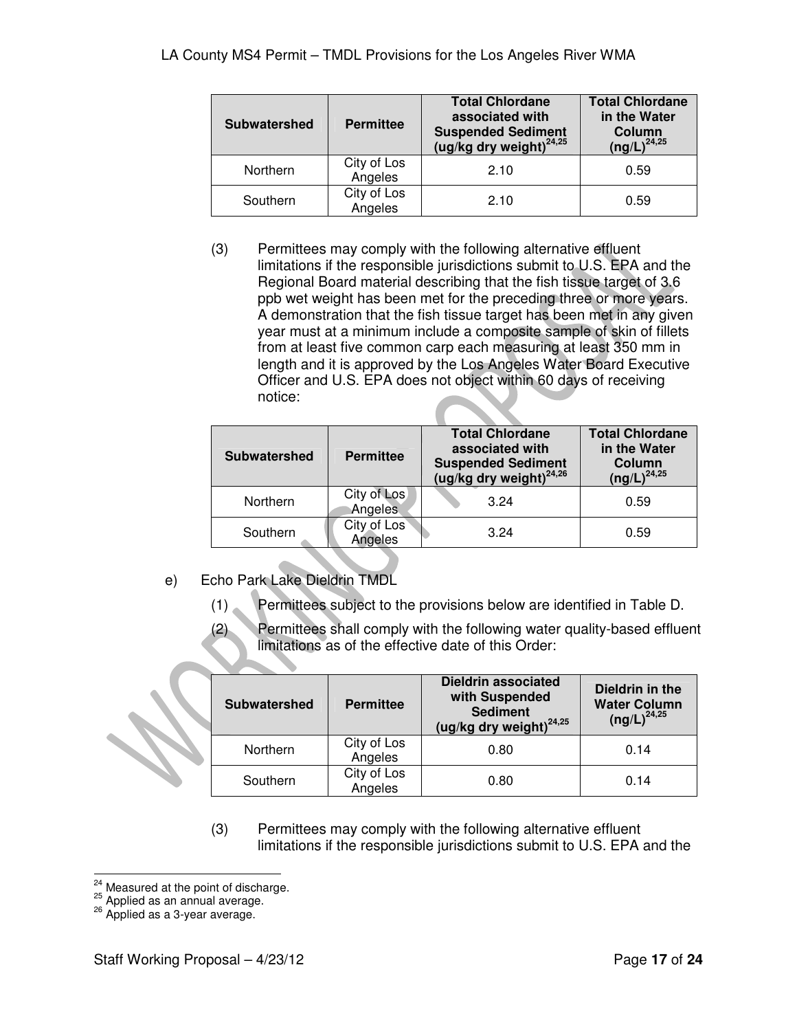| <b>Subwatershed</b> | <b>Permittee</b>       | <b>Total Chlordane</b><br>associated with<br><b>Suspended Sediment</b><br>(ug/kg dry weight) $^{24,25}$ | <b>Total Chlordane</b><br>in the Water<br>Column<br>$(ng/L)^{24,25}$ |
|---------------------|------------------------|---------------------------------------------------------------------------------------------------------|----------------------------------------------------------------------|
| Northern            | City of Los<br>Angeles | 2.10                                                                                                    | 0.59                                                                 |
| Southern            | City of Los<br>Angeles | 2.10                                                                                                    | 0.59                                                                 |

(3) Permittees may comply with the following alternative effluent limitations if the responsible jurisdictions submit to U.S. EPA and the Regional Board material describing that the fish tissue target of 3.6 ppb wet weight has been met for the preceding three or more years. A demonstration that the fish tissue target has been met in any given year must at a minimum include a composite sample of skin of fillets from at least five common carp each measuring at least 350 mm in length and it is approved by the Los Angeles Water Board Executive Officer and U.S. EPA does not object within 60 days of receiving notice:

| <b>Subwatershed</b> | <b>Permittee</b>       | <b>Total Chlordane</b><br>associated with<br><b>Suspended Sediment</b><br>(ug/kg dry weight) $^{24,26}$ | <b>Total Chlordane</b><br>in the Water<br>Column<br>$(ng/L)^{24,25}$ |
|---------------------|------------------------|---------------------------------------------------------------------------------------------------------|----------------------------------------------------------------------|
| Northern            | City of Los<br>Angeles | 3.24                                                                                                    | 0.59                                                                 |
| Southern            | City of Los<br>Angeles | 3.24                                                                                                    | 0.59                                                                 |

- e) Echo Park Lake Dieldrin TMDL
	- (1) Permittees subject to the provisions below are identified in Table D.
	- (2) Permittees shall comply with the following water quality-based effluent limitations as of the effective date of this Order:

| <b>Subwatershed</b> | <b>Permittee</b>       | <b>Dieldrin associated</b><br>with Suspended<br><b>Sediment</b><br>(ug/kg dry weight) <sup>24,25</sup> | Dieldrin in the<br><b>Water Column</b><br>$(ng/L)^{24,25}$ |
|---------------------|------------------------|--------------------------------------------------------------------------------------------------------|------------------------------------------------------------|
| Northern            | City of Los<br>Angeles | 0.80                                                                                                   | 0.14                                                       |
| Southern            | City of Los<br>Angeles | 0.80                                                                                                   | 0.14                                                       |

(3) Permittees may comply with the following alternative effluent limitations if the responsible jurisdictions submit to U.S. EPA and the

 $\overline{a}$  $^{24}$  Measured at the point of discharge.

 $25$  Applied as an annual average.

 $26$  Applied as a 3-year average.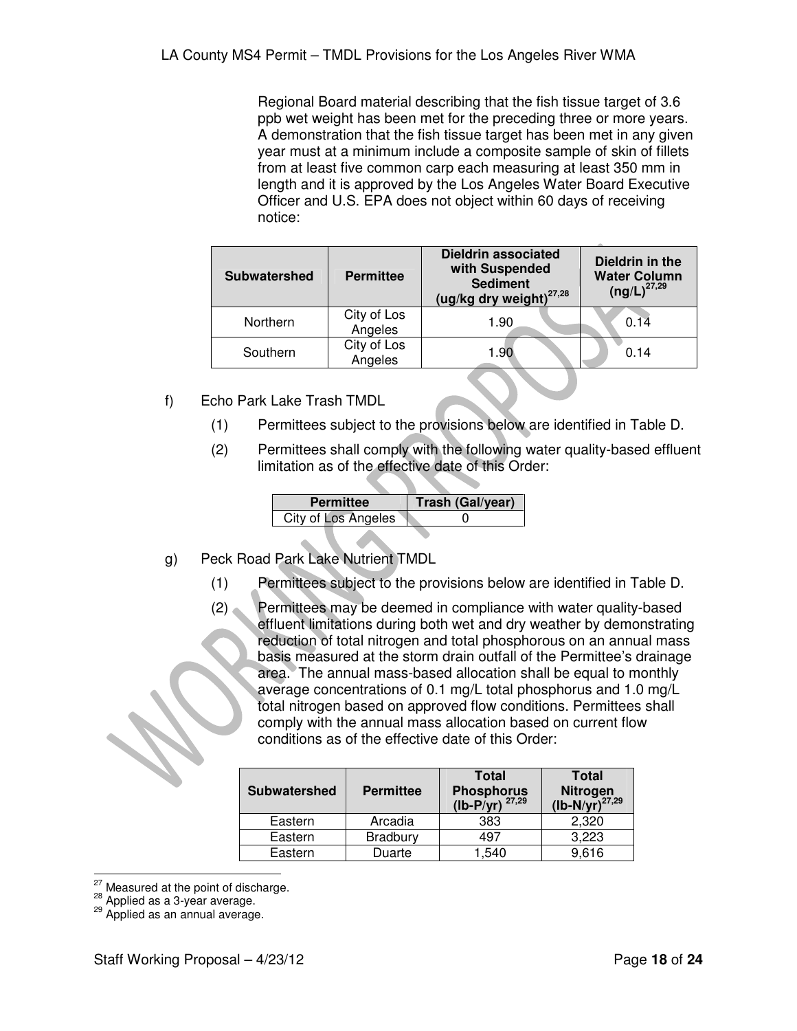Regional Board material describing that the fish tissue target of 3.6 ppb wet weight has been met for the preceding three or more years. A demonstration that the fish tissue target has been met in any given year must at a minimum include a composite sample of skin of fillets from at least five common carp each measuring at least 350 mm in length and it is approved by the Los Angeles Water Board Executive Officer and U.S. EPA does not object within 60 days of receiving notice:

| <b>Subwatershed</b> | <b>Permittee</b>       | <b>Dieldrin associated</b><br>with Suspended<br><b>Sediment</b><br>(ug/kg dry weight) $^{27,28}$ | Dieldrin in the<br><b>Water Column</b><br>$(ng/L)^{27,29}$ |
|---------------------|------------------------|--------------------------------------------------------------------------------------------------|------------------------------------------------------------|
| Northern            | City of Los<br>Angeles | 1.90                                                                                             | 0.14                                                       |
| Southern            | City of Los<br>Angeles | 1.90                                                                                             | 0.14                                                       |

- f) Echo Park Lake Trash TMDL
	- (1) Permittees subject to the provisions below are identified in Table D.
	- (2) Permittees shall comply with the following water quality-based effluent limitation as of the effective date of this Order:

| <b>Permittee</b>    | Trash (Gal/year) |
|---------------------|------------------|
| City of Los Angeles |                  |

- g) Peck Road Park Lake Nutrient TMDL
	- (1) Permittees subject to the provisions below are identified in Table D.
	- (2) Permittees may be deemed in compliance with water quality-based effluent limitations during both wet and dry weather by demonstrating reduction of total nitrogen and total phosphorous on an annual mass basis measured at the storm drain outfall of the Permittee's drainage area. The annual mass-based allocation shall be equal to monthly average concentrations of 0.1 mg/L total phosphorus and 1.0 mg/L total nitrogen based on approved flow conditions. Permittees shall comply with the annual mass allocation based on current flow conditions as of the effective date of this Order:

| <b>Subwatershed</b> | <b>Permittee</b> | <b>Total</b><br>Phosphorus<br>(lb-P/yr) $^{27,29}$ | <b>Total</b><br>Nitrogen<br>(lb-N/yr) <sup>27,29</sup> |
|---------------------|------------------|----------------------------------------------------|--------------------------------------------------------|
| Eastern             | Arcadia          | 383                                                | 2,320                                                  |
| Eastern             | <b>Bradbury</b>  | 497                                                | 3,223                                                  |
| Eastern             | Duarte           | 540. ا                                             | 9,616                                                  |

 $\overline{a}$ <sup>27</sup> Measured at the point of discharge.

<sup>28</sup> Applied as a 3-year average.

<sup>&</sup>lt;sup>29</sup> Applied as an annual average.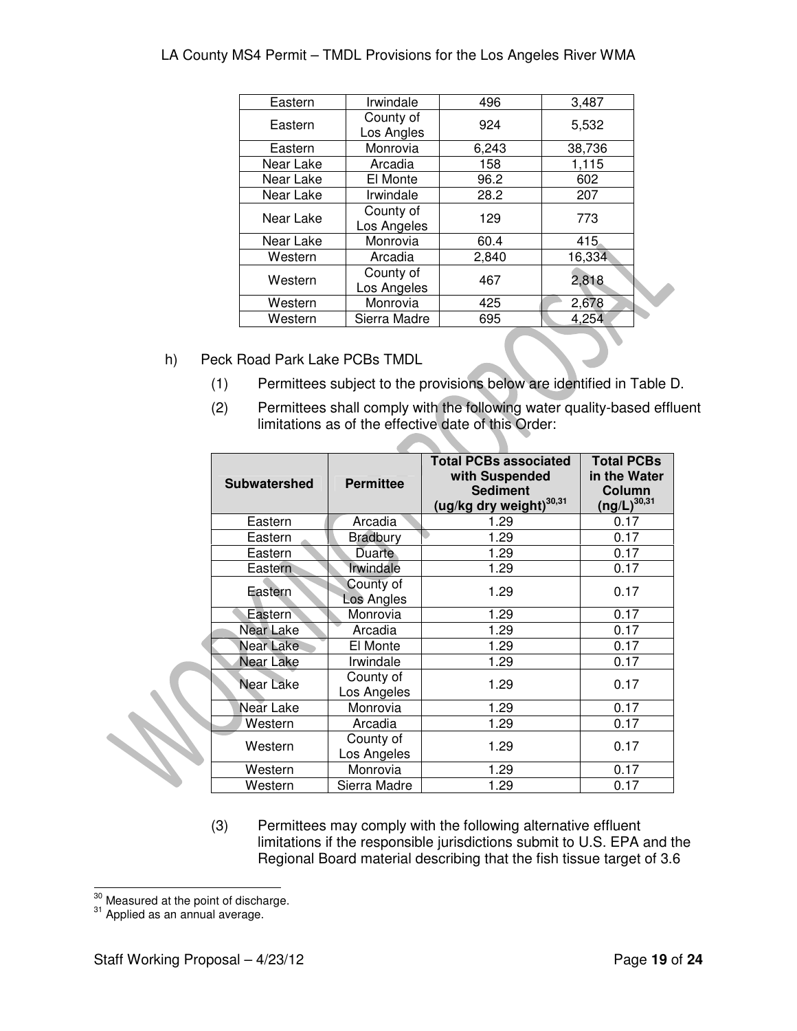| Eastern   | Irwindale                | 496   | 3,487  |
|-----------|--------------------------|-------|--------|
| Eastern   | County of<br>Los Angles  | 924   | 5,532  |
| Eastern   | Monrovia                 | 6,243 | 38,736 |
| Near Lake | Arcadia                  | 158   | 1,115  |
| Near Lake | El Monte                 | 96.2  | 602    |
| Near Lake | Irwindale                | 28.2  | 207    |
| Near Lake | County of<br>Los Angeles | 129   | 773    |
| Near Lake | Monrovia                 | 60.4  | 415    |
| Western   | Arcadia                  | 2,840 | 16,334 |
| Western   | County of<br>Los Angeles | 467   | 2,818  |
| Western   | Monrovia                 | 425   | 2,678  |
| Western   | Sierra Madre             | 695   | 4,254  |

- h) Peck Road Park Lake PCBs TMDL
	- (1) Permittees subject to the provisions below are identified in Table D.

h.

a di provincia di controllo di con-

(2) Permittees shall comply with the following water quality-based effluent limitations as of the effective date of this Order:

| <b>Subwatershed</b> | <b>Permittee</b>         | <b>Total PCBs associated</b><br>with Suspended<br><b>Sediment</b><br>(ug/kg dry weight) <sup>30,31</sup> | <b>Total PCBs</b><br>in the Water<br>Column<br>$(ng/L)^{30,31}$ |
|---------------------|--------------------------|----------------------------------------------------------------------------------------------------------|-----------------------------------------------------------------|
| Eastern             | Arcadia                  | 1.29                                                                                                     | 0.17                                                            |
| Eastern             | <b>Bradbury</b>          | 1.29                                                                                                     | 0.17                                                            |
| Eastern             | Duarte                   | 1.29                                                                                                     | 0.17                                                            |
| Eastern             | Irwindale                | 1.29                                                                                                     | 0.17                                                            |
| Eastern             | County of<br>Los Angles  | 1.29                                                                                                     | 0.17                                                            |
| Eastern             | Monrovia                 | 1.29                                                                                                     | 0.17                                                            |
| <b>Near Lake</b>    | Arcadia                  | 1.29                                                                                                     | 0.17                                                            |
| Near Lake           | El Monte                 | 1.29                                                                                                     | 0.17                                                            |
| Near Lake           | Irwindale                | 1.29                                                                                                     | 0.17                                                            |
| Near Lake           | County of<br>Los Angeles | 1.29                                                                                                     | 0.17                                                            |
| Near Lake           | Monrovia                 | 1.29                                                                                                     | 0.17                                                            |
| Western             | Arcadia                  | 1.29                                                                                                     | 0.17                                                            |
| Western             | County of<br>Los Angeles | 1.29                                                                                                     | 0.17                                                            |
| Western             | Monrovia                 | 1.29                                                                                                     | 0.17                                                            |
| Western             | Sierra Madre             | 1.29                                                                                                     | 0.17                                                            |

(3) Permittees may comply with the following alternative effluent limitations if the responsible jurisdictions submit to U.S. EPA and the Regional Board material describing that the fish tissue target of 3.6

 $\overline{a}$  $\frac{30}{10}$  Measured at the point of discharge.

 $31$  Applied as an annual average.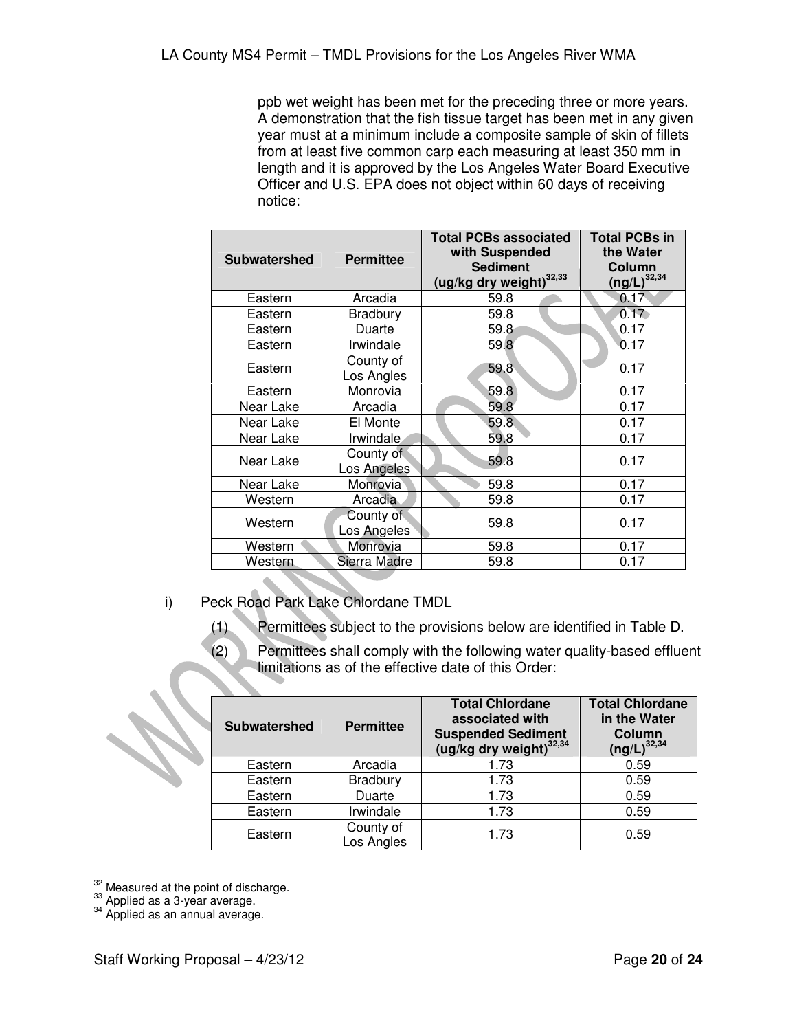ppb wet weight has been met for the preceding three or more years. A demonstration that the fish tissue target has been met in any given year must at a minimum include a composite sample of skin of fillets from at least five common carp each measuring at least 350 mm in length and it is approved by the Los Angeles Water Board Executive Officer and U.S. EPA does not object within 60 days of receiving notice:

| <b>Subwatershed</b> | <b>Permittee</b>         | <b>Total PCBs associated</b><br>with Suspended<br><b>Sediment</b><br>(ug/kg dry weight) <sup>32,33</sup> | <b>Total PCBs in</b><br>the Water<br>Column<br>$(ng/L)^{32,34}$ |
|---------------------|--------------------------|----------------------------------------------------------------------------------------------------------|-----------------------------------------------------------------|
| Eastern             | Arcadia                  | 59.8                                                                                                     | 0.17                                                            |
| Eastern             | Bradbury                 | 59.8                                                                                                     | 0.17                                                            |
| Eastern             | Duarte                   | 59.8                                                                                                     | 0.17                                                            |
| Eastern             | Irwindale                | 59.8                                                                                                     | 0.17                                                            |
| Eastern             | County of<br>Los Angles  | 59.8                                                                                                     | 0.17                                                            |
| Eastern             | Monrovia                 | 59.8                                                                                                     | 0.17                                                            |
| Near Lake           | Arcadia                  | 59.8                                                                                                     | 0.17                                                            |
| Near Lake           | El Monte                 | 59.8                                                                                                     | 0.17                                                            |
| Near Lake           | <i>Irwindale</i>         | 59.8                                                                                                     | 0.17                                                            |
| Near Lake           | County of<br>Los Angeles | 59.8                                                                                                     | 0.17                                                            |
| Near Lake           | Monrovia                 | 59.8                                                                                                     | 0.17                                                            |
| Western             | Arcadia                  | 59.8                                                                                                     | 0.17                                                            |
| Western             | County of<br>Los Angeles | 59.8                                                                                                     | 0.17                                                            |
| Western             | Monrovia                 | 59.8                                                                                                     | 0.17                                                            |
| Western             | Sierra Madre             | 59.8                                                                                                     | 0.17                                                            |

- i) Peck Road Park Lake Chlordane TMDL
	- (1) Permittees subject to the provisions below are identified in Table D.
	- (2) Permittees shall comply with the following water quality-based effluent limitations as of the effective date of this Order:

| <b>Subwatershed</b> | <b>Permittee</b>        | <b>Total Chlordane</b><br>associated with<br><b>Suspended Sediment</b><br>(ug/kg dry weight) <sup>32,34</sup> | <b>Total Chlordane</b><br>in the Water<br>Column<br>$(ng/L)^{32,34}$ |
|---------------------|-------------------------|---------------------------------------------------------------------------------------------------------------|----------------------------------------------------------------------|
| Eastern             | Arcadia                 | 1.73                                                                                                          | 0.59                                                                 |
| Eastern             | <b>Bradbury</b>         | 1.73                                                                                                          | 0.59                                                                 |
| Eastern             | Duarte                  | 1.73                                                                                                          | 0.59                                                                 |
| Eastern             | Irwindale               | 1.73                                                                                                          | 0.59                                                                 |
| Eastern             | County of<br>Los Angles | 1.73                                                                                                          | 0.59                                                                 |

 $\overline{a}$  $32$  Measured at the point of discharge.

 $33$  Applied as a 3-year average.

<sup>&</sup>lt;sup>34</sup> Applied as an annual average.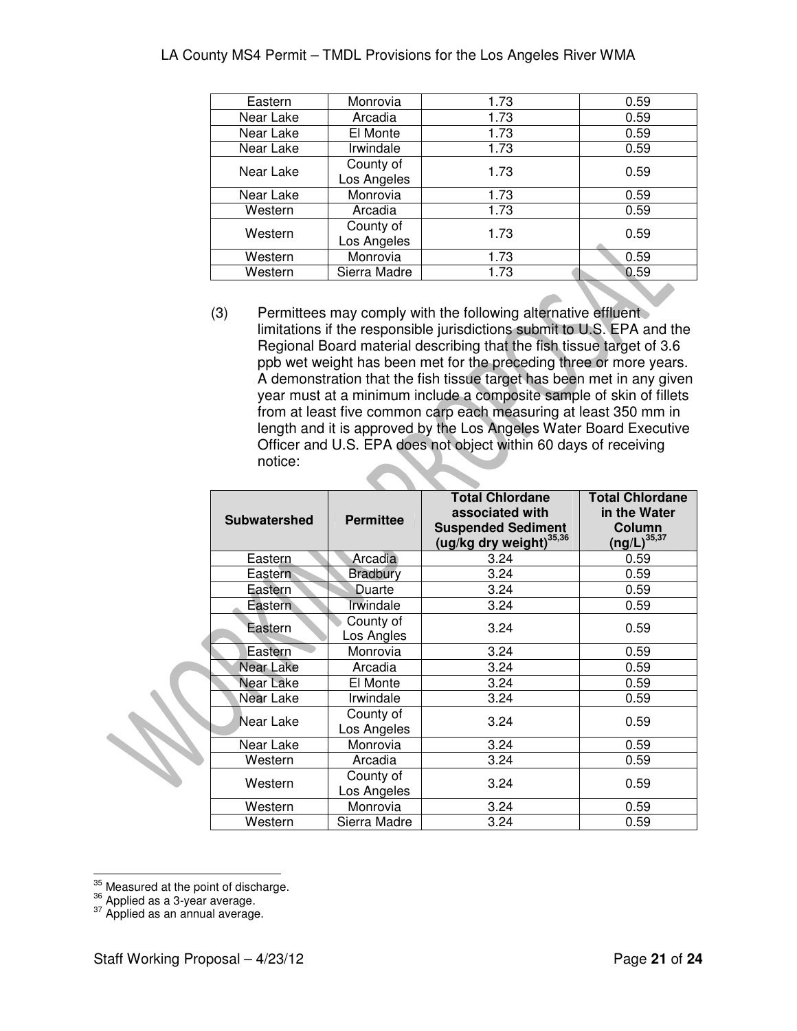| Eastern   | Monrovia                 | 1.73 | 0.59 |
|-----------|--------------------------|------|------|
| Near Lake | Arcadia                  | 1.73 | 0.59 |
| Near Lake | El Monte                 | 1.73 | 0.59 |
| Near Lake | Irwindale                | 1.73 | 0.59 |
| Near Lake | County of<br>Los Angeles | 1.73 | 0.59 |
| Near Lake | Monrovia                 | 1.73 | 0.59 |
| Western   | Arcadia                  | 1.73 | 0.59 |
| Western   | County of<br>Los Angeles | 1.73 | 0.59 |
| Western   | Monrovia                 | 1.73 | 0.59 |
| Western   | Sierra Madre             | 1.73 | 0.59 |
|           |                          |      |      |

(3) Permittees may comply with the following alternative effluent limitations if the responsible jurisdictions submit to U.S. EPA and the Regional Board material describing that the fish tissue target of 3.6 ppb wet weight has been met for the preceding three or more years. A demonstration that the fish tissue target has been met in any given year must at a minimum include a composite sample of skin of fillets from at least five common carp each measuring at least 350 mm in length and it is approved by the Los Angeles Water Board Executive Officer and U.S. EPA does not object within 60 days of receiving notice:

| <b>Subwatershed</b> | <b>Permittee</b>         | <b>Total Chlordane</b><br>associated with<br><b>Suspended Sediment</b><br>(ug/kg dry weight) <sup>35,36</sup> | <b>Total Chlordane</b><br>in the Water<br>Column<br>$(ng/L)^{35,37}$ |
|---------------------|--------------------------|---------------------------------------------------------------------------------------------------------------|----------------------------------------------------------------------|
| Eastern             | Arcadia                  | 3.24                                                                                                          | 0.59                                                                 |
| Eastern             | <b>Bradbury</b>          | 3.24                                                                                                          | 0.59                                                                 |
| Eastern             | Duarte                   | 3.24                                                                                                          | 0.59                                                                 |
| Eastern             | Irwindale                | 3.24                                                                                                          | 0.59                                                                 |
| Eastern             | County of<br>Los Angles  | 3.24                                                                                                          | 0.59                                                                 |
| Eastern             | Monrovia                 | 3.24                                                                                                          | 0.59                                                                 |
| Near Lake           | Arcadia                  | 3.24                                                                                                          | 0.59                                                                 |
| <b>Near Lake</b>    | El Monte                 | 3.24                                                                                                          | 0.59                                                                 |
| Near Lake           | Irwindale                | 3.24                                                                                                          | 0.59                                                                 |
| Near Lake           | County of<br>Los Angeles | 3.24                                                                                                          | 0.59                                                                 |
| Near Lake           | Monrovia                 | 3.24                                                                                                          | 0.59                                                                 |
| Western             | Arcadia                  | 3.24                                                                                                          | 0.59                                                                 |
| Western             | County of<br>Los Angeles | 3.24                                                                                                          | 0.59                                                                 |
| Western             | Monrovia                 | 3.24                                                                                                          | 0.59                                                                 |
| Western             | Sierra Madre             | 3.24                                                                                                          | 0.59                                                                 |

j  $\frac{35}{10}$  Measured at the point of discharge.

 $36$  Applied as a 3-year average.

<sup>&</sup>lt;sup>37</sup> Applied as an annual average.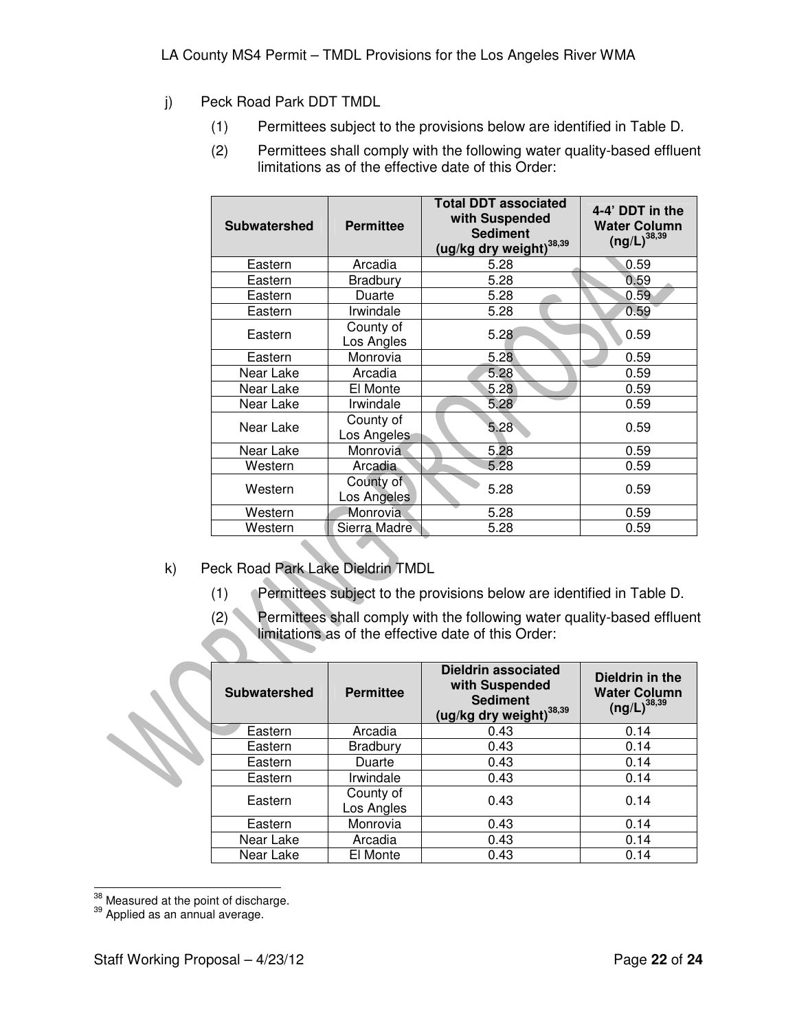- j) Peck Road Park DDT TMDL
	- (1) Permittees subject to the provisions below are identified in Table D.
	- (2) Permittees shall comply with the following water quality-based effluent limitations as of the effective date of this Order:

| <b>Subwatershed</b> | <b>Permittee</b>         | <b>Total DDT associated</b><br>with Suspended<br><b>Sediment</b><br>(ug/kg dry weight) <sup>38,39</sup> | 4-4' DDT in the<br><b>Water Column</b><br>$(ng/L)^{38,39}$ |
|---------------------|--------------------------|---------------------------------------------------------------------------------------------------------|------------------------------------------------------------|
| Eastern             | Arcadia                  | 5.28                                                                                                    | 0.59                                                       |
| Eastern             | Bradbury                 | 5.28                                                                                                    | 0.59                                                       |
| Eastern             | Duarte                   | 5.28                                                                                                    | 0.59                                                       |
| Eastern             | Irwindale                | 5.28                                                                                                    | 0.59                                                       |
| Eastern             | County of<br>Los Angles  | 5.28                                                                                                    | 0.59                                                       |
| Eastern             | Monrovia                 | 5.28                                                                                                    | 0.59                                                       |
| Near Lake           | Arcadia                  | 5.28                                                                                                    | 0.59                                                       |
| Near Lake           | El Monte                 | 5.28                                                                                                    | 0.59                                                       |
| Near Lake           | Irwindale                | 5.28                                                                                                    | 0.59                                                       |
| Near Lake           | County of<br>Los Angeles | 5.28                                                                                                    | 0.59                                                       |
| Near Lake           | Monrovia                 | 5.28                                                                                                    | 0.59                                                       |
| Western             | Arcadia                  | 5.28                                                                                                    | 0.59                                                       |
| Western             | County of<br>Los Angeles | 5.28                                                                                                    | 0.59                                                       |
| Western             | Monrovia                 | 5.28                                                                                                    | 0.59                                                       |
| Western             | Sierra Madre             | 5.28                                                                                                    | 0.59                                                       |

- k) Peck Road Park Lake Dieldrin TMDL
	- (1) Permittees subject to the provisions below are identified in Table D.
	- (2) Permittees shall comply with the following water quality-based effluent limitations as of the effective date of this Order:

| <b>Subwatershed</b> | <b>Permittee</b>        | <b>Dieldrin associated</b><br>with Suspended<br><b>Sediment</b><br>(ug/kg dry weight) <sup>38,39</sup> | Dieldrin in the<br><b>Water Column</b><br>$(ng/L)^{38,39}$ |
|---------------------|-------------------------|--------------------------------------------------------------------------------------------------------|------------------------------------------------------------|
| Eastern             | Arcadia                 | 0.43                                                                                                   | 0.14                                                       |
| Eastern             | <b>Bradbury</b>         | 0.43                                                                                                   | 0.14                                                       |
| Eastern             | Duarte                  | 0.43                                                                                                   | 0.14                                                       |
| Eastern             | Irwindale               | 0.43                                                                                                   | 0.14                                                       |
| Eastern             | County of<br>Los Angles | 0.43                                                                                                   | 0.14                                                       |
| Eastern             | Monrovia                | 0.43                                                                                                   | 0.14                                                       |
| Near Lake           | Arcadia                 | 0.43                                                                                                   | 0.14                                                       |
| Near Lake           | El Monte                | 0.43                                                                                                   | 0.14                                                       |

 $\overline{a}$  $\frac{38}{10}$  Measured at the point of discharge.

<sup>&</sup>lt;sup>39</sup> Applied as an annual average.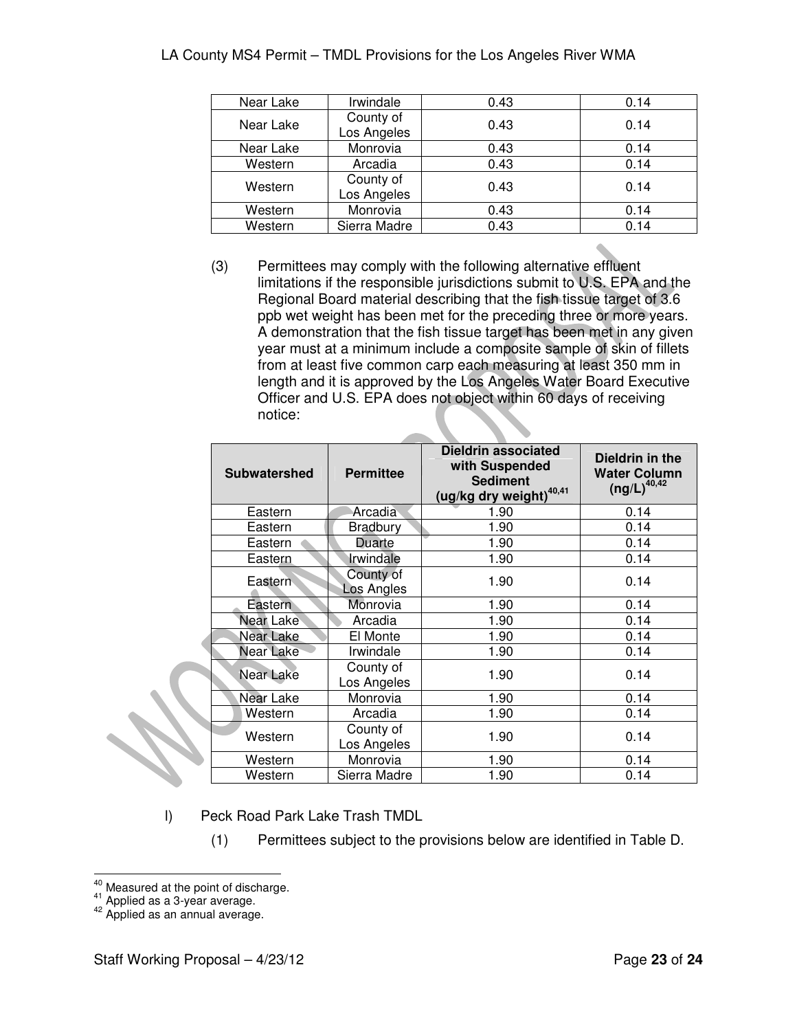| Near Lake | Irwindale                | 0.43 | 0.14 |
|-----------|--------------------------|------|------|
| Near Lake | County of<br>Los Angeles | 0.43 | 0.14 |
| Near Lake | Monrovia                 | 0.43 | 0.14 |
| Western   | Arcadia                  | 0.43 | 0.14 |
| Western   | County of<br>Los Angeles | 0.43 | 0.14 |
| Western   | Monrovia                 | 0.43 | 0.14 |
| Western   | Sierra Madre             | 0.43 | 0.14 |

(3) Permittees may comply with the following alternative effluent limitations if the responsible jurisdictions submit to U.S. EPA and the Regional Board material describing that the fish tissue target of 3.6 ppb wet weight has been met for the preceding three or more years. A demonstration that the fish tissue target has been met in any given year must at a minimum include a composite sample of skin of fillets from at least five common carp each measuring at least 350 mm in length and it is approved by the Los Angeles Water Board Executive Officer and U.S. EPA does not object within 60 days of receiving notice:

| <b>Subwatershed</b> | <b>Permittee</b>         | <b>Dieldrin associated</b><br>with Suspended<br><b>Sediment</b><br>(ug/kg dry weight) <sup>40,41</sup> | Dieldrin in the<br><b>Water Column</b><br>$(ng/L)^{40,42}$ |
|---------------------|--------------------------|--------------------------------------------------------------------------------------------------------|------------------------------------------------------------|
| Eastern             | Arcadia                  | 1.90                                                                                                   | 0.14                                                       |
| Eastern             | <b>Bradbury</b>          | 1.90                                                                                                   | 0.14                                                       |
| Eastern             | Duarte                   | 1.90                                                                                                   | 0.14                                                       |
| Eastern             | Irwindale                | 1.90                                                                                                   | 0.14                                                       |
| Eastern             | County of<br>Los Angles  | 1.90                                                                                                   | 0.14                                                       |
| Eastern             | Monrovia                 | 1.90                                                                                                   | 0.14                                                       |
| Near Lake           | Arcadia                  | 1.90                                                                                                   | 0.14                                                       |
| Near Lake           | El Monte                 | 1.90                                                                                                   | 0.14                                                       |
| Near Lake           | Irwindale                | 1.90                                                                                                   | 0.14                                                       |
| Near Lake           | County of<br>Los Angeles | 1.90                                                                                                   | 0.14                                                       |
| Near Lake           | Monrovia                 | 1.90                                                                                                   | 0.14                                                       |
| Western             | Arcadia                  | 1.90                                                                                                   | 0.14                                                       |
| Western             | County of<br>Los Angeles | 1.90                                                                                                   | 0.14                                                       |
| Western             | Monrovia                 | 1.90                                                                                                   | 0.14                                                       |
| Western             | Sierra Madre             | 1.90                                                                                                   | 0.14                                                       |

l) Peck Road Park Lake Trash TMDL

(1) Permittees subject to the provisions below are identified in Table D.

 $\overline{a}$ <sup>40</sup> Measured at the point of discharge.

 $^{41}$  Applied as a 3-year average.

<sup>&</sup>lt;sup>42</sup> Applied as an annual average.